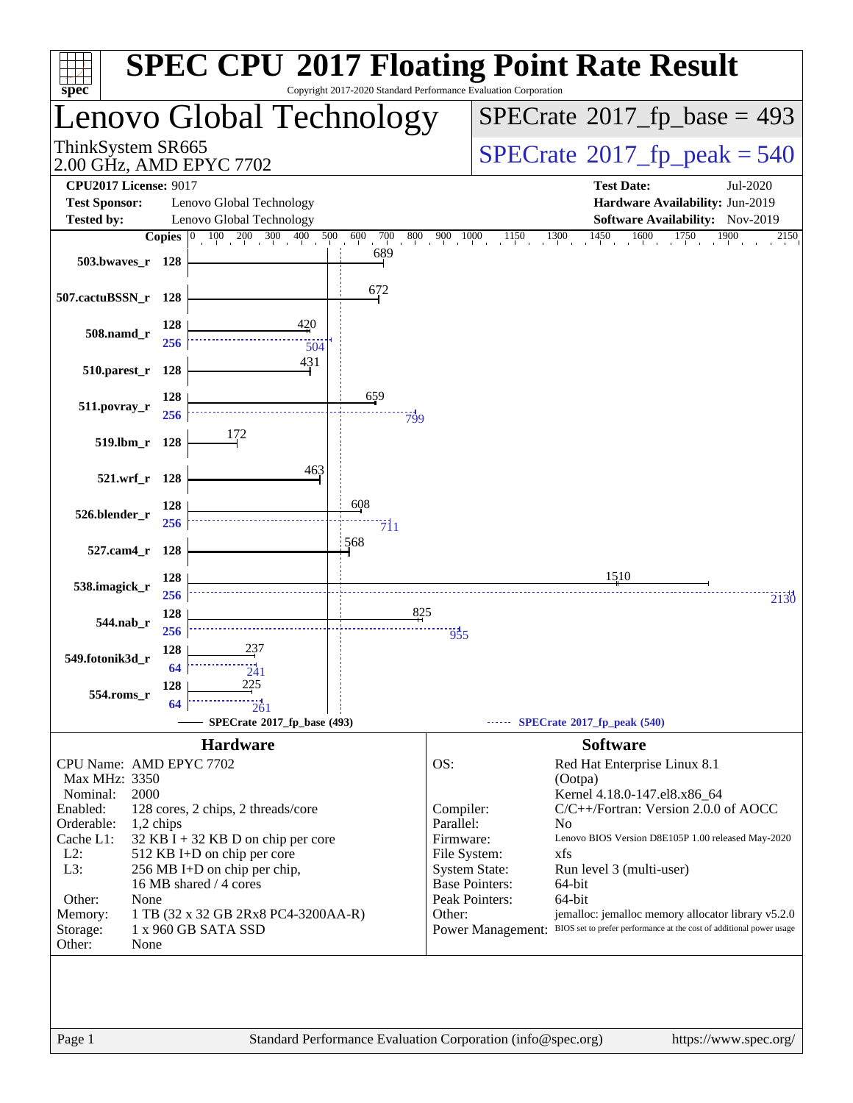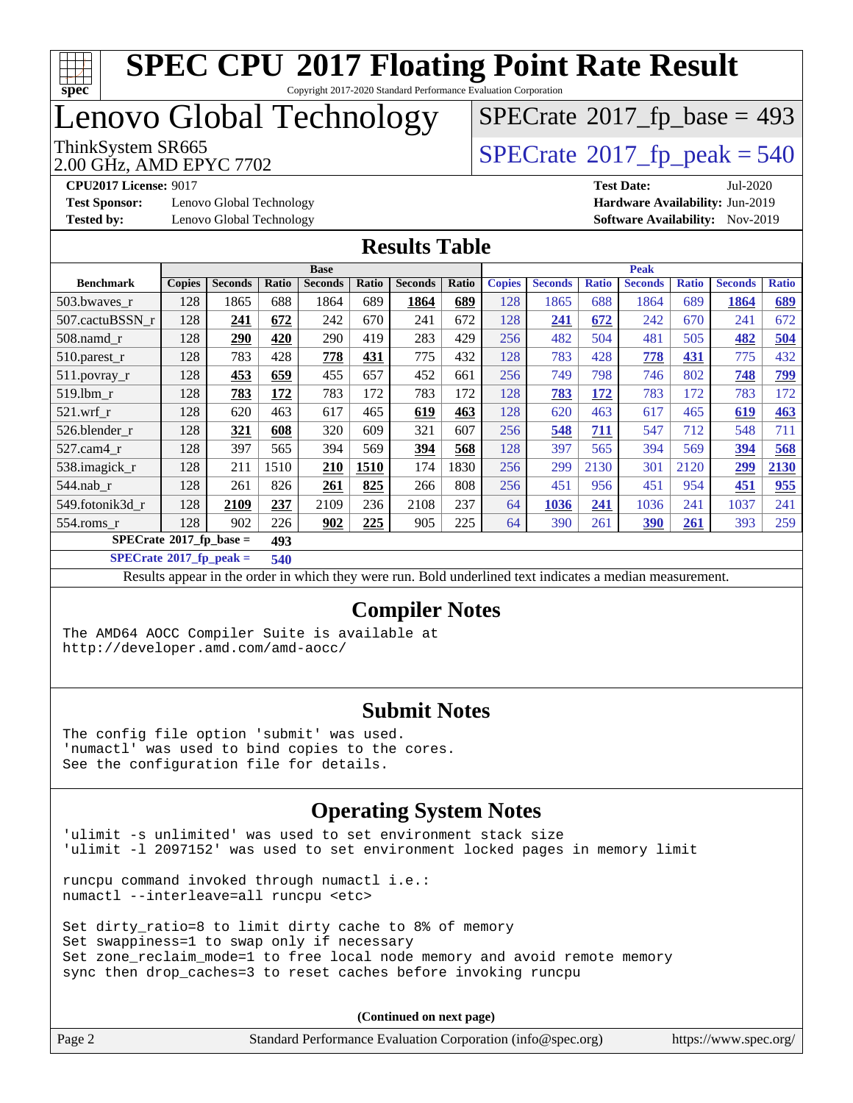

Copyright 2017-2020 Standard Performance Evaluation Corporation

### Lenovo Global Technology

2.00 GHz, AMD EPYC 7702

ThinkSystem SR665<br>2.00 GHz AMD EPYC 7702  $\boxed{\text{SPECrate}^{\circ}2017\_fp\_peak = 540}$  $\boxed{\text{SPECrate}^{\circ}2017\_fp\_peak = 540}$  $\boxed{\text{SPECrate}^{\circ}2017\_fp\_peak = 540}$ 

 $SPECTate$ <sup>®</sup>[2017\\_fp\\_base =](http://www.spec.org/auto/cpu2017/Docs/result-fields.html#SPECrate2017fpbase) 493

**[Test Sponsor:](http://www.spec.org/auto/cpu2017/Docs/result-fields.html#TestSponsor)** Lenovo Global Technology **[Hardware Availability:](http://www.spec.org/auto/cpu2017/Docs/result-fields.html#HardwareAvailability)** Jun-2019 **[Tested by:](http://www.spec.org/auto/cpu2017/Docs/result-fields.html#Testedby)** Lenovo Global Technology **[Software Availability:](http://www.spec.org/auto/cpu2017/Docs/result-fields.html#SoftwareAvailability)** Nov-2019

**[CPU2017 License:](http://www.spec.org/auto/cpu2017/Docs/result-fields.html#CPU2017License)** 9017 **[Test Date:](http://www.spec.org/auto/cpu2017/Docs/result-fields.html#TestDate)** Jul-2020

#### **[Results Table](http://www.spec.org/auto/cpu2017/Docs/result-fields.html#ResultsTable)**

|                                           | <b>Base</b>   |                |       |                | <b>Peak</b> |                |       |               |                |              |                |              |                |              |
|-------------------------------------------|---------------|----------------|-------|----------------|-------------|----------------|-------|---------------|----------------|--------------|----------------|--------------|----------------|--------------|
| <b>Benchmark</b>                          | <b>Copies</b> | <b>Seconds</b> | Ratio | <b>Seconds</b> | Ratio       | <b>Seconds</b> | Ratio | <b>Copies</b> | <b>Seconds</b> | <b>Ratio</b> | <b>Seconds</b> | <b>Ratio</b> | <b>Seconds</b> | <b>Ratio</b> |
| 503.bwaves_r                              | 128           | 1865           | 688   | 1864           | 689         | 1864           | 689   | 128           | 1865           | 688          | 1864           | 689          | 1864           | 689          |
| 507.cactuBSSN r                           | 128           | 241            | 672   | 242            | 670         | 241            | 672   | 128           | 241            | 672          | 242            | 670          | 241            | 672          |
| 508.namd_r                                | 128           | 290            | 420   | 290            | 419         | 283            | 429   | 256           | 482            | 504          | 481            | 505          | 482            | 504          |
| 510.parest_r                              | 128           | 783            | 428   | 778            | 431         | 775            | 432   | 128           | 783            | 428          | 778            | 431          | 775            | 432          |
| 511.povray_r                              | 128           | 453            | 659   | 455            | 657         | 452            | 661   | 256           | 749            | 798          | 746            | 802          | 748            | <u>799</u>   |
| 519.lbm r                                 | 128           | 783            | 172   | 783            | 172         | 783            | 172   | 128           | 783            | 172          | 783            | 172          | 783            | 172          |
| $521$ .wrf r                              | 128           | 620            | 463   | 617            | 465         | 619            | 463   | 128           | 620            | 463          | 617            | 465          | 619            | <b>463</b>   |
| 526.blender r                             | 128           | 321            | 608   | 320            | 609         | 321            | 607   | 256           | 548            | 711          | 547            | 712          | 548            | 711          |
| $527.cam4_r$                              | 128           | 397            | 565   | 394            | 569         | 394            | 568   | 128           | 397            | 565          | 394            | 569          | 394            | 568          |
| 538.imagick_r                             | 128           | 211            | 1510  | 210            | 1510        | 174            | 1830  | 256           | 299            | 2130         | 301            | 2120         | 299            | 2130         |
| 544.nab r                                 | 128           | 261            | 826   | 261            | 825         | 266            | 808   | 256           | 451            | 956          | 451            | 954          | 451            | 955          |
| 549.fotonik3d r                           | 128           | 2109           | 237   | 2109           | 236         | 2108           | 237   | 64            | 1036           | 241          | 1036           | 241          | 1037           | 241          |
| 554.roms r                                | 128           | 902            | 226   | 902            | 225         | 905            | 225   | 64            | 390            | 261          | 390            | 261          | 393            | 259          |
| $SPECrate^{\otimes}2017$ fp base =<br>493 |               |                |       |                |             |                |       |               |                |              |                |              |                |              |

**[SPECrate](http://www.spec.org/auto/cpu2017/Docs/result-fields.html#SPECrate2017fppeak)[2017\\_fp\\_peak =](http://www.spec.org/auto/cpu2017/Docs/result-fields.html#SPECrate2017fppeak) 540**

Results appear in the [order in which they were run](http://www.spec.org/auto/cpu2017/Docs/result-fields.html#RunOrder). Bold underlined text [indicates a median measurement](http://www.spec.org/auto/cpu2017/Docs/result-fields.html#Median).

#### **[Compiler Notes](http://www.spec.org/auto/cpu2017/Docs/result-fields.html#CompilerNotes)**

The AMD64 AOCC Compiler Suite is available at <http://developer.amd.com/amd-aocc/>

#### **[Submit Notes](http://www.spec.org/auto/cpu2017/Docs/result-fields.html#SubmitNotes)**

The config file option 'submit' was used. 'numactl' was used to bind copies to the cores. See the configuration file for details.

#### **[Operating System Notes](http://www.spec.org/auto/cpu2017/Docs/result-fields.html#OperatingSystemNotes)**

'ulimit -s unlimited' was used to set environment stack size 'ulimit -l 2097152' was used to set environment locked pages in memory limit

runcpu command invoked through numactl i.e.: numactl --interleave=all runcpu <etc>

Set dirty\_ratio=8 to limit dirty cache to 8% of memory Set swappiness=1 to swap only if necessary Set zone\_reclaim\_mode=1 to free local node memory and avoid remote memory sync then drop\_caches=3 to reset caches before invoking runcpu

| Page 2 | Standard Performance Evaluation Corporation (info@spec.org) | https://www.spec.org/ |
|--------|-------------------------------------------------------------|-----------------------|
|        |                                                             |                       |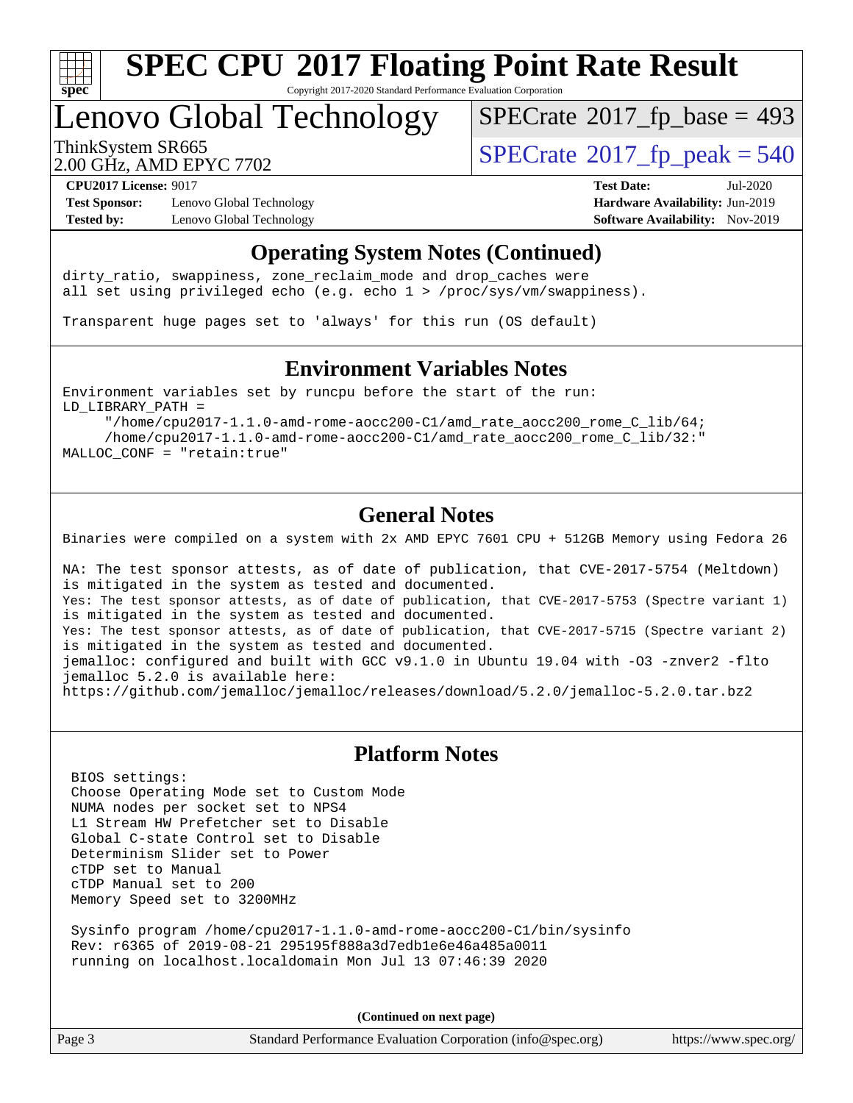

Copyright 2017-2020 Standard Performance Evaluation Corporation

### Lenovo Global Technology

 $SPECTate$ <sup>®</sup>[2017\\_fp\\_base =](http://www.spec.org/auto/cpu2017/Docs/result-fields.html#SPECrate2017fpbase) 493

2.00 GHz, AMD EPYC 7702

ThinkSystem SR665<br>2.00 GHz, AMD EPYC 7702

**[Test Sponsor:](http://www.spec.org/auto/cpu2017/Docs/result-fields.html#TestSponsor)** Lenovo Global Technology **[Hardware Availability:](http://www.spec.org/auto/cpu2017/Docs/result-fields.html#HardwareAvailability)** Jun-2019 **[Tested by:](http://www.spec.org/auto/cpu2017/Docs/result-fields.html#Testedby)** Lenovo Global Technology **[Software Availability:](http://www.spec.org/auto/cpu2017/Docs/result-fields.html#SoftwareAvailability)** Nov-2019

**[CPU2017 License:](http://www.spec.org/auto/cpu2017/Docs/result-fields.html#CPU2017License)** 9017 **[Test Date:](http://www.spec.org/auto/cpu2017/Docs/result-fields.html#TestDate)** Jul-2020

#### **[Operating System Notes \(Continued\)](http://www.spec.org/auto/cpu2017/Docs/result-fields.html#OperatingSystemNotes)**

dirty\_ratio, swappiness, zone\_reclaim\_mode and drop caches were all set using privileged echo (e.g. echo 1 > /proc/sys/vm/swappiness).

Transparent huge pages set to 'always' for this run (OS default)

#### **[Environment Variables Notes](http://www.spec.org/auto/cpu2017/Docs/result-fields.html#EnvironmentVariablesNotes)**

Environment variables set by runcpu before the start of the run: LD\_LIBRARY\_PATH =

 "/home/cpu2017-1.1.0-amd-rome-aocc200-C1/amd\_rate\_aocc200\_rome\_C\_lib/64; /home/cpu2017-1.1.0-amd-rome-aocc200-C1/amd\_rate\_aocc200\_rome\_C\_lib/32:" MALLOC\_CONF = "retain:true"

#### **[General Notes](http://www.spec.org/auto/cpu2017/Docs/result-fields.html#GeneralNotes)**

Binaries were compiled on a system with 2x AMD EPYC 7601 CPU + 512GB Memory using Fedora 26

NA: The test sponsor attests, as of date of publication, that CVE-2017-5754 (Meltdown) is mitigated in the system as tested and documented. Yes: The test sponsor attests, as of date of publication, that CVE-2017-5753 (Spectre variant 1) is mitigated in the system as tested and documented. Yes: The test sponsor attests, as of date of publication, that CVE-2017-5715 (Spectre variant 2) is mitigated in the system as tested and documented. jemalloc: configured and built with GCC v9.1.0 in Ubuntu 19.04 with -O3 -znver2 -flto jemalloc 5.2.0 is available here: <https://github.com/jemalloc/jemalloc/releases/download/5.2.0/jemalloc-5.2.0.tar.bz2>

#### **[Platform Notes](http://www.spec.org/auto/cpu2017/Docs/result-fields.html#PlatformNotes)**

 BIOS settings: Choose Operating Mode set to Custom Mode NUMA nodes per socket set to NPS4 L1 Stream HW Prefetcher set to Disable Global C-state Control set to Disable Determinism Slider set to Power cTDP set to Manual cTDP Manual set to 200 Memory Speed set to 3200MHz

 Sysinfo program /home/cpu2017-1.1.0-amd-rome-aocc200-C1/bin/sysinfo Rev: r6365 of 2019-08-21 295195f888a3d7edb1e6e46a485a0011 running on localhost.localdomain Mon Jul 13 07:46:39 2020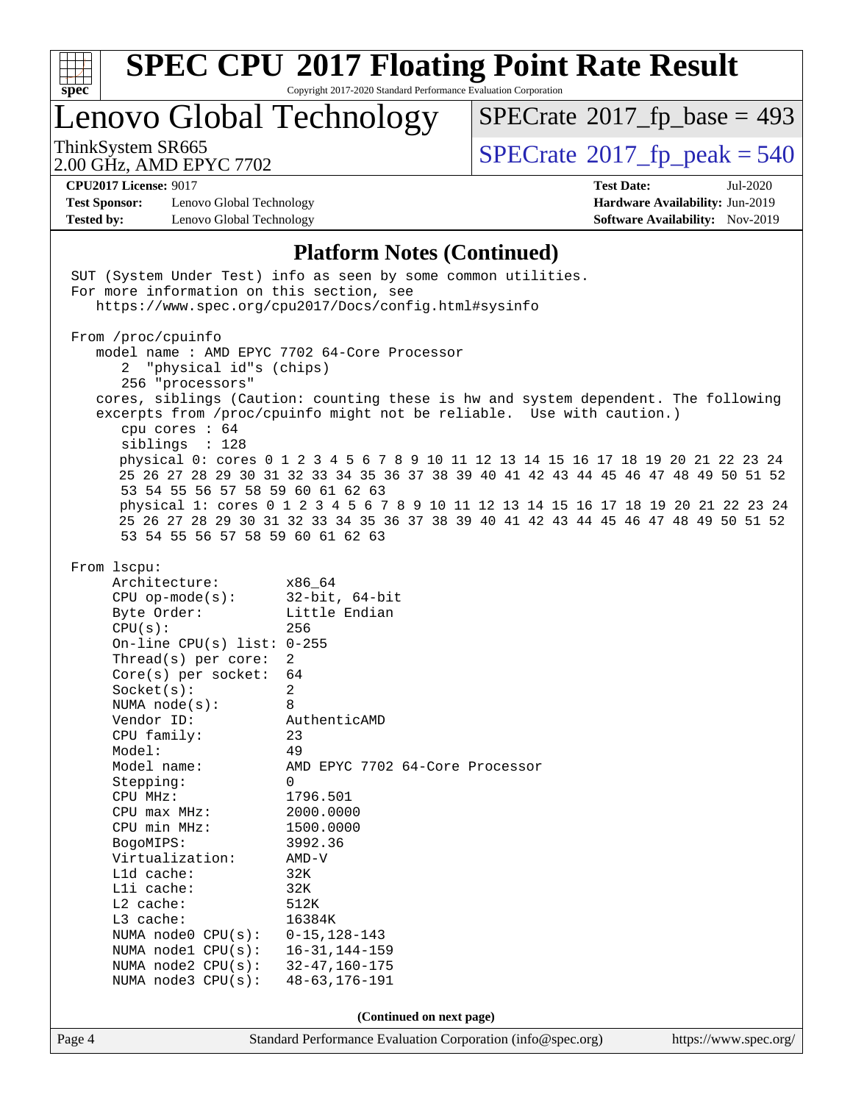

Copyright 2017-2020 Standard Performance Evaluation Corporation

Lenovo Global Technology

 $SPECTate$ <sup>®</sup>[2017\\_fp\\_base =](http://www.spec.org/auto/cpu2017/Docs/result-fields.html#SPECrate2017fpbase) 493

2.00 GHz, AMD EPYC 7702

ThinkSystem SR665<br>2.00 GHz, AMD EPYC 7702 [SPECrate](http://www.spec.org/auto/cpu2017/Docs/result-fields.html#SPECrate2017fppeak)®[2017\\_fp\\_peak = 5](http://www.spec.org/auto/cpu2017/Docs/result-fields.html#SPECrate2017fppeak)40

**[Test Sponsor:](http://www.spec.org/auto/cpu2017/Docs/result-fields.html#TestSponsor)** Lenovo Global Technology **[Hardware Availability:](http://www.spec.org/auto/cpu2017/Docs/result-fields.html#HardwareAvailability)** Jun-2019 **[Tested by:](http://www.spec.org/auto/cpu2017/Docs/result-fields.html#Testedby)** Lenovo Global Technology **[Software Availability:](http://www.spec.org/auto/cpu2017/Docs/result-fields.html#SoftwareAvailability)** Nov-2019

**[CPU2017 License:](http://www.spec.org/auto/cpu2017/Docs/result-fields.html#CPU2017License)** 9017 **[Test Date:](http://www.spec.org/auto/cpu2017/Docs/result-fields.html#TestDate)** Jul-2020

#### **[Platform Notes \(Continued\)](http://www.spec.org/auto/cpu2017/Docs/result-fields.html#PlatformNotes)**

|        | 53 54 55 56 57 58 59 60 61 62 63<br>53 54 55 56 57 58 59 60 61 62 63                                                                                                                                                                                                                                                                                                                                                                                                                                                             | physical 1: cores 0 1 2 3 4 5 6 7 8 9 10 11 12 13 14 15 16 17 18 19 20 21 22 23 24<br>25 26 27 28 29 30 31 32 33 34 35 36 37 38 39 40 41 42 43 44 45 46 47 48 49 50 51 52                                                                                                                                             |                       |
|--------|----------------------------------------------------------------------------------------------------------------------------------------------------------------------------------------------------------------------------------------------------------------------------------------------------------------------------------------------------------------------------------------------------------------------------------------------------------------------------------------------------------------------------------|-----------------------------------------------------------------------------------------------------------------------------------------------------------------------------------------------------------------------------------------------------------------------------------------------------------------------|-----------------------|
|        | From lscpu:<br>Architecture: x86_64<br>CPU $op-mode(s):$ 32-bit, 64-bit<br>Byte Order:<br>CPU(s):<br>On-line CPU(s) list: $0-255$<br>Thread(s) per core:<br>Core(s) per socket: $64$<br>Socket(s):<br>NUMA node(s):<br>Vendor ID:<br>CPU family:<br>Model:<br>Model name:<br>Stepping:<br>CPU MHz:<br>$CPU$ $max$ $MHz$ :<br>$CPU$ min $MHz$ :<br>BogoMIPS:<br>Virtualization:<br>$L1d$ cache:<br>Lli cache:<br>$L2$ cache:<br>L3 cache:<br>NUMA node0 CPU(s):<br>NUMA node1 CPU(s):<br>NUMA node2 CPU(s):<br>NUMA node3 CPU(s): | Little Endian<br>256<br>2<br>$\sqrt{2}$<br>8<br>-<br>AuthenticAMD<br>23<br>49<br>AMD EPYC 7702 64-Core Processor<br>$\Omega$<br>1796.501<br>2000.0000<br>1500.0000<br>3992.36<br>AMD-V<br>32K<br>32K<br>512K<br>16384K<br>$0 - 15, 128 - 143$<br>$16 - 31, 144 - 159$<br>$32 - 47, 160 - 175$<br>$48 - 63, 176 - 191$ |                       |
| Page 4 |                                                                                                                                                                                                                                                                                                                                                                                                                                                                                                                                  | (Continued on next page)<br>Standard Performance Evaluation Corporation (info@spec.org)                                                                                                                                                                                                                               | https://www.spec.org/ |
|        |                                                                                                                                                                                                                                                                                                                                                                                                                                                                                                                                  |                                                                                                                                                                                                                                                                                                                       |                       |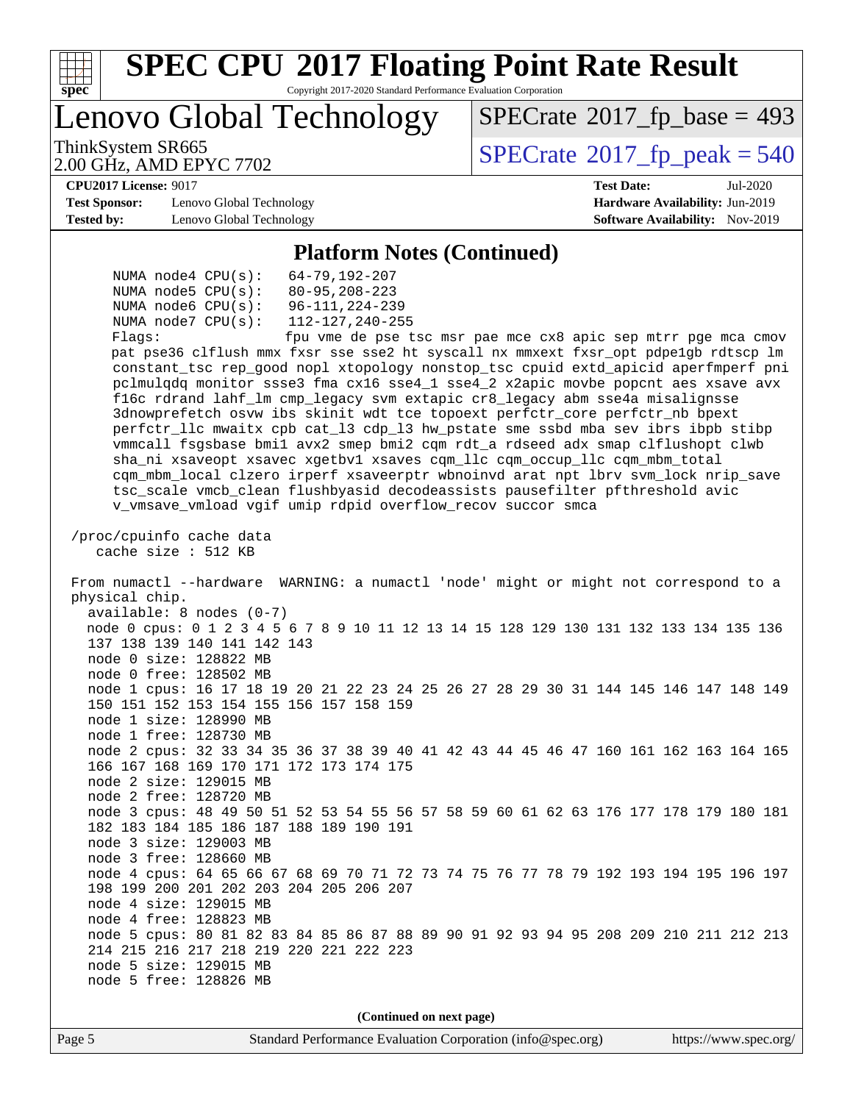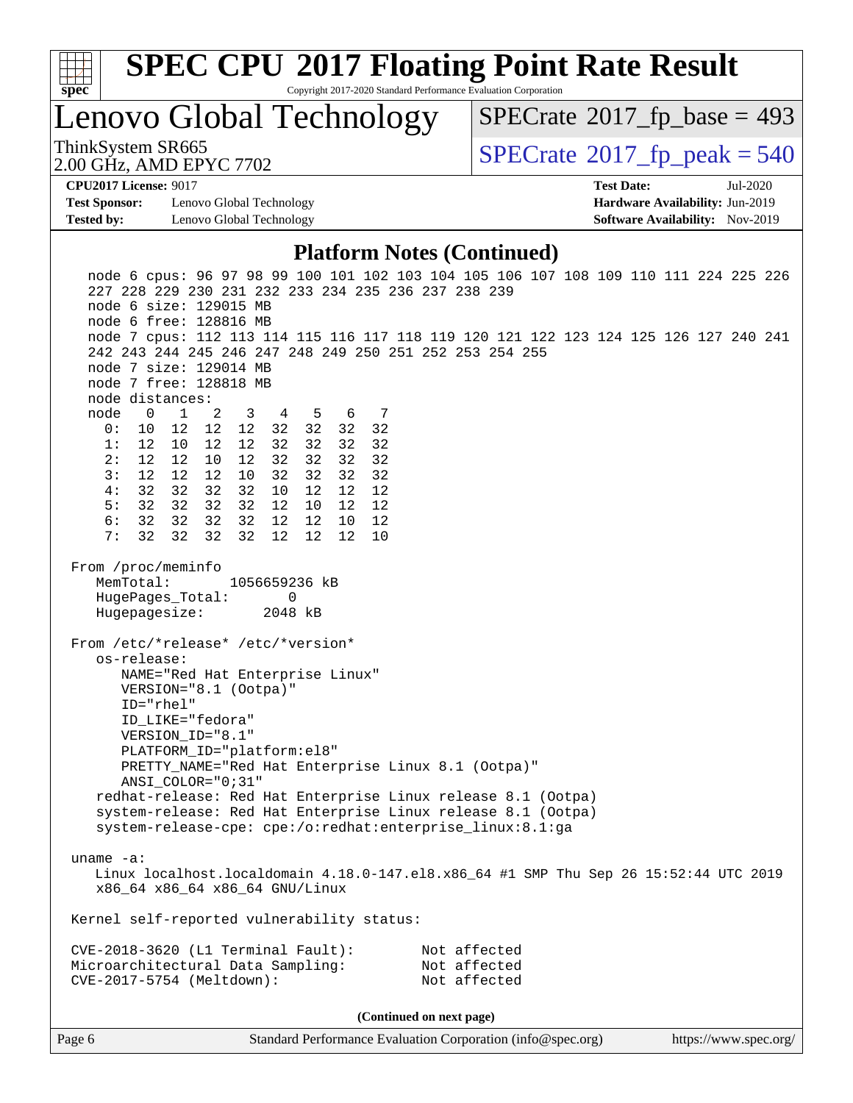

Copyright 2017-2020 Standard Performance Evaluation Corporation

Lenovo Global Technology

 $SPECrate$ <sup>®</sup>[2017\\_fp\\_base =](http://www.spec.org/auto/cpu2017/Docs/result-fields.html#SPECrate2017fpbase) 493

2.00 GHz, AMD EPYC 7702

ThinkSystem SR665<br>2.00 GHz, AMD EPYC 7702 [SPECrate](http://www.spec.org/auto/cpu2017/Docs/result-fields.html#SPECrate2017fppeak)®[2017\\_fp\\_peak = 5](http://www.spec.org/auto/cpu2017/Docs/result-fields.html#SPECrate2017fppeak)40

**[CPU2017 License:](http://www.spec.org/auto/cpu2017/Docs/result-fields.html#CPU2017License)** 9017 **[Test Date:](http://www.spec.org/auto/cpu2017/Docs/result-fields.html#TestDate)** Jul-2020

**[Test Sponsor:](http://www.spec.org/auto/cpu2017/Docs/result-fields.html#TestSponsor)** Lenovo Global Technology **[Hardware Availability:](http://www.spec.org/auto/cpu2017/Docs/result-fields.html#HardwareAvailability)** Jun-2019 **[Tested by:](http://www.spec.org/auto/cpu2017/Docs/result-fields.html#Testedby)** Lenovo Global Technology **[Software Availability:](http://www.spec.org/auto/cpu2017/Docs/result-fields.html#SoftwareAvailability)** Nov-2019

#### **[Platform Notes \(Continued\)](http://www.spec.org/auto/cpu2017/Docs/result-fields.html#PlatformNotes)**

| node 6 cpus: 96 97 98 99 100 101 102 103 104 105 106 107 108 109 110 111 224 225 226<br>227 228 229 230 231 232 233 234 235 236 237 238 239 |  |  |  |  |  |  |  |  |  |
|---------------------------------------------------------------------------------------------------------------------------------------------|--|--|--|--|--|--|--|--|--|
| node 6 size: 129015 MB                                                                                                                      |  |  |  |  |  |  |  |  |  |
| node 6 free: 128816 MB                                                                                                                      |  |  |  |  |  |  |  |  |  |
| node 7 cpus: 112 113 114 115 116 117 118 119 120 121 122 123 124 125 126 127 240 241                                                        |  |  |  |  |  |  |  |  |  |
| 242 243 244 245 246 247 248 249 250 251 252 253 254 255                                                                                     |  |  |  |  |  |  |  |  |  |
| node 7 size: 129014 MB                                                                                                                      |  |  |  |  |  |  |  |  |  |
| node 7 free: 128818 MB                                                                                                                      |  |  |  |  |  |  |  |  |  |
| node distances:                                                                                                                             |  |  |  |  |  |  |  |  |  |
| node<br>$\overline{0}$<br>1<br>3<br>4 5<br>6 7<br>2                                                                                         |  |  |  |  |  |  |  |  |  |
| 0:<br>12<br>12 32<br>32<br>32 32<br>10<br>12                                                                                                |  |  |  |  |  |  |  |  |  |
| 1:<br>12<br>32<br>32<br>32<br>32<br>12 10<br>12<br>2:                                                                                       |  |  |  |  |  |  |  |  |  |
| 12<br>12<br>32<br>32<br>32<br>32<br>10<br>12 <sub>2</sub><br>3:<br>12<br>12<br>12<br>10<br>32<br>32<br>32<br>32                             |  |  |  |  |  |  |  |  |  |
| 4:<br>32<br>32<br>32<br>32<br>12<br>10<br>12<br>12                                                                                          |  |  |  |  |  |  |  |  |  |
| 5:<br>32 32<br>32<br>32<br>12<br>10<br>12<br>12                                                                                             |  |  |  |  |  |  |  |  |  |
| 6:<br>32 32<br>32<br>12<br>12<br>32<br>12<br>10                                                                                             |  |  |  |  |  |  |  |  |  |
| 7:<br>32 32<br>32<br>32<br>12<br>10<br>12<br>12                                                                                             |  |  |  |  |  |  |  |  |  |
|                                                                                                                                             |  |  |  |  |  |  |  |  |  |
| From /proc/meminfo                                                                                                                          |  |  |  |  |  |  |  |  |  |
| MemTotal:<br>1056659236 kB                                                                                                                  |  |  |  |  |  |  |  |  |  |
| HugePages_Total:<br>0                                                                                                                       |  |  |  |  |  |  |  |  |  |
| Hugepagesize:<br>2048 kB                                                                                                                    |  |  |  |  |  |  |  |  |  |
|                                                                                                                                             |  |  |  |  |  |  |  |  |  |
| From /etc/*release* /etc/*version*                                                                                                          |  |  |  |  |  |  |  |  |  |
| os-release:                                                                                                                                 |  |  |  |  |  |  |  |  |  |
| NAME="Red Hat Enterprise Linux"                                                                                                             |  |  |  |  |  |  |  |  |  |
| VERSION="8.1 (Ootpa)"                                                                                                                       |  |  |  |  |  |  |  |  |  |
| ID="rhel"                                                                                                                                   |  |  |  |  |  |  |  |  |  |
| ID_LIKE="fedora"<br>VERSION_ID="8.1"                                                                                                        |  |  |  |  |  |  |  |  |  |
| PLATFORM_ID="platform:el8"                                                                                                                  |  |  |  |  |  |  |  |  |  |
| PRETTY_NAME="Red Hat Enterprise Linux 8.1 (Ootpa)"                                                                                          |  |  |  |  |  |  |  |  |  |
| $ANSI\_COLOR = "0; 31"$                                                                                                                     |  |  |  |  |  |  |  |  |  |
| redhat-release: Red Hat Enterprise Linux release 8.1 (Ootpa)                                                                                |  |  |  |  |  |  |  |  |  |
| system-release: Red Hat Enterprise Linux release 8.1 (Ootpa)                                                                                |  |  |  |  |  |  |  |  |  |
| system-release-cpe: cpe:/o:redhat:enterprise_linux:8.1:ga                                                                                   |  |  |  |  |  |  |  |  |  |
|                                                                                                                                             |  |  |  |  |  |  |  |  |  |
| uname $-a$ :                                                                                                                                |  |  |  |  |  |  |  |  |  |
| Linux localhost.localdomain 4.18.0-147.el8.x86_64 #1 SMP Thu Sep 26 15:52:44 UTC 2019                                                       |  |  |  |  |  |  |  |  |  |
| x86_64 x86_64 x86_64 GNU/Linux                                                                                                              |  |  |  |  |  |  |  |  |  |
| Kernel self-reported vulnerability status:                                                                                                  |  |  |  |  |  |  |  |  |  |
|                                                                                                                                             |  |  |  |  |  |  |  |  |  |
| CVE-2018-3620 (L1 Terminal Fault):<br>Not affected                                                                                          |  |  |  |  |  |  |  |  |  |
| Not affected<br>Microarchitectural Data Sampling:<br>Not affected                                                                           |  |  |  |  |  |  |  |  |  |
| CVE-2017-5754 (Meltdown):                                                                                                                   |  |  |  |  |  |  |  |  |  |
|                                                                                                                                             |  |  |  |  |  |  |  |  |  |
| (Continued on next page)                                                                                                                    |  |  |  |  |  |  |  |  |  |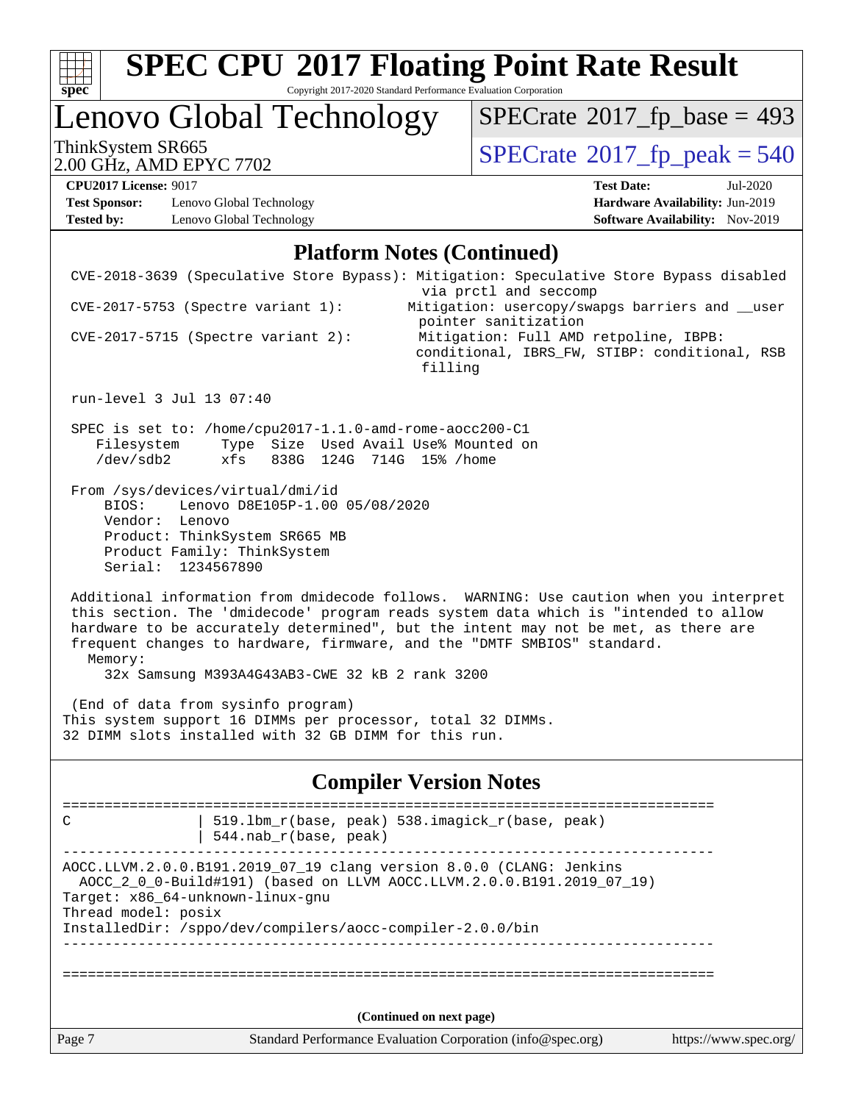

Copyright 2017-2020 Standard Performance Evaluation Corporation

## Lenovo Global Technology

ThinkSystem SR665<br>2.00 GHz, AMD EPYC 7702 [SPECrate](http://www.spec.org/auto/cpu2017/Docs/result-fields.html#SPECrate2017fppeak)®[2017\\_fp\\_peak = 5](http://www.spec.org/auto/cpu2017/Docs/result-fields.html#SPECrate2017fppeak)40  $SPECrate$ <sup>®</sup>[2017\\_fp\\_base =](http://www.spec.org/auto/cpu2017/Docs/result-fields.html#SPECrate2017fpbase) 493

2.00 GHz, AMD EPYC 7702

**[Test Sponsor:](http://www.spec.org/auto/cpu2017/Docs/result-fields.html#TestSponsor)** Lenovo Global Technology **[Hardware Availability:](http://www.spec.org/auto/cpu2017/Docs/result-fields.html#HardwareAvailability)** Jun-2019 **[Tested by:](http://www.spec.org/auto/cpu2017/Docs/result-fields.html#Testedby)** Lenovo Global Technology **[Software Availability:](http://www.spec.org/auto/cpu2017/Docs/result-fields.html#SoftwareAvailability)** Nov-2019

**[CPU2017 License:](http://www.spec.org/auto/cpu2017/Docs/result-fields.html#CPU2017License)** 9017 **[Test Date:](http://www.spec.org/auto/cpu2017/Docs/result-fields.html#TestDate)** Jul-2020

#### **[Platform Notes \(Continued\)](http://www.spec.org/auto/cpu2017/Docs/result-fields.html#PlatformNotes)**

| C<br>Thread model: posix                      | $544.nab_r(base, peak)$<br>Target: x86_64-unknown-linux-gnu<br>InstalledDir: /sppo/dev/compilers/aocc-compiler-2.0.0/bin           | AOCC.LLVM.2.0.0.B191.2019_07_19 clang version 8.0.0 (CLANG: Jenkins<br>AOCC_2_0_0-Build#191) (based on LLVM AOCC.LLVM.2.0.0.B191.2019_07_19)<br>(Continued on next page)<br>Standard Performance Evaluation Corporation (info@spec.org)<br>https://www.spec.org/                                                                               |  |
|-----------------------------------------------|------------------------------------------------------------------------------------------------------------------------------------|------------------------------------------------------------------------------------------------------------------------------------------------------------------------------------------------------------------------------------------------------------------------------------------------------------------------------------------------|--|
|                                               |                                                                                                                                    |                                                                                                                                                                                                                                                                                                                                                |  |
|                                               |                                                                                                                                    |                                                                                                                                                                                                                                                                                                                                                |  |
|                                               |                                                                                                                                    |                                                                                                                                                                                                                                                                                                                                                |  |
|                                               |                                                                                                                                    |                                                                                                                                                                                                                                                                                                                                                |  |
|                                               |                                                                                                                                    |                                                                                                                                                                                                                                                                                                                                                |  |
|                                               |                                                                                                                                    | 519.1bm_r(base, peak) 538.imagick_r(base, peak)                                                                                                                                                                                                                                                                                                |  |
|                                               |                                                                                                                                    | <b>Compiler Version Notes</b>                                                                                                                                                                                                                                                                                                                  |  |
|                                               | (End of data from sysinfo program)<br>32 DIMM slots installed with 32 GB DIMM for this run.                                        | This system support 16 DIMMs per processor, total 32 DIMMs.                                                                                                                                                                                                                                                                                    |  |
| Memory:                                       | 32x Samsung M393A4G43AB3-CWE 32 kB 2 rank 3200                                                                                     | Additional information from dmidecode follows. WARNING: Use caution when you interpret<br>this section. The 'dmidecode' program reads system data which is "intended to allow<br>hardware to be accurately determined", but the intent may not be met, as there are<br>frequent changes to hardware, firmware, and the "DMTF SMBIOS" standard. |  |
| BIOS:<br>Vendor: Lenovo<br>Serial: 1234567890 | From /sys/devices/virtual/dmi/id<br>Lenovo D8E105P-1.00 05/08/2020<br>Product: ThinkSystem SR665 MB<br>Product Family: ThinkSystem |                                                                                                                                                                                                                                                                                                                                                |  |
| Filesystem<br>/dev/sdb2                       | SPEC is set to: /home/cpu2017-1.1.0-amd-rome-aocc200-C1<br>xfs                                                                     | Type Size Used Avail Use% Mounted on<br>838G 124G 714G 15% / home                                                                                                                                                                                                                                                                              |  |
| run-level 3 Jul 13 07:40                      |                                                                                                                                    |                                                                                                                                                                                                                                                                                                                                                |  |
|                                               | $CVE-2017-5715$ (Spectre variant 2):                                                                                               | pointer sanitization<br>Mitigation: Full AMD retpoline, IBPB:<br>conditional, IBRS_FW, STIBP: conditional, RSB<br>filling                                                                                                                                                                                                                      |  |
|                                               | CVE-2017-5753 (Spectre variant 1):                                                                                                 | Mitigation: usercopy/swapgs barriers and __user                                                                                                                                                                                                                                                                                                |  |
|                                               |                                                                                                                                    | CVE-2018-3639 (Speculative Store Bypass): Mitigation: Speculative Store Bypass disabled<br>via prctl and seccomp                                                                                                                                                                                                                               |  |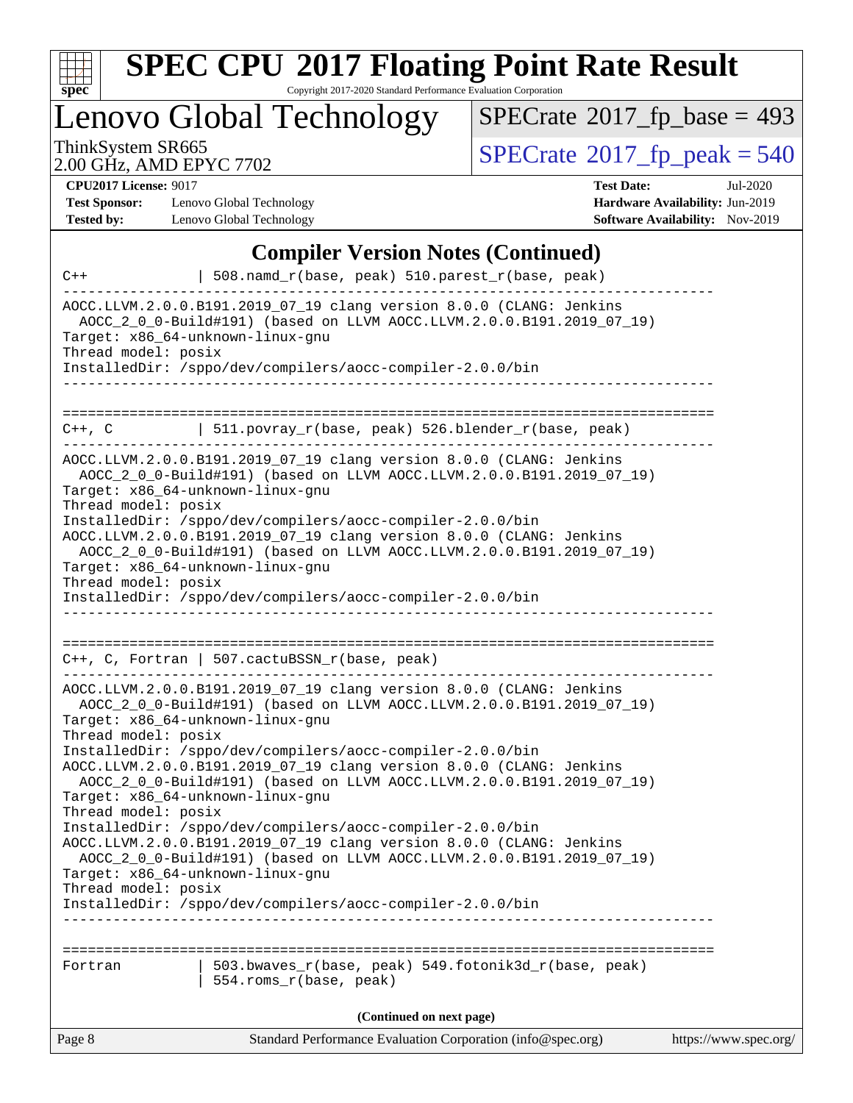

Copyright 2017-2020 Standard Performance Evaluation Corporation

Lenovo Global Technology

 $SPECrate$ <sup>®</sup>[2017\\_fp\\_base =](http://www.spec.org/auto/cpu2017/Docs/result-fields.html#SPECrate2017fpbase) 493

2.00 GHz, AMD EPYC 7702

ThinkSystem SR665<br>2.00 GHz, AMD EPYC 7702 [SPECrate](http://www.spec.org/auto/cpu2017/Docs/result-fields.html#SPECrate2017fppeak)®[2017\\_fp\\_peak = 5](http://www.spec.org/auto/cpu2017/Docs/result-fields.html#SPECrate2017fppeak)40

**[CPU2017 License:](http://www.spec.org/auto/cpu2017/Docs/result-fields.html#CPU2017License)** 9017

**[Test Sponsor:](http://www.spec.org/auto/cpu2017/Docs/result-fields.html#TestSponsor)** Lenovo Global Technology **[Tested by:](http://www.spec.org/auto/cpu2017/Docs/result-fields.html#Testedby)** Lenovo Global Technology

| <b>Test Date:</b>                      | Jul-2020 |
|----------------------------------------|----------|
| <b>Hardware Availability: Jun-2019</b> |          |
| <b>Software Availability:</b> Nov-2019 |          |

#### **[Compiler Version Notes \(Continued\)](http://www.spec.org/auto/cpu2017/Docs/result-fields.html#CompilerVersionNotes)**

| $C++$                                                   | 508.namd_r(base, peak) 510.parest_r(base, peak)                                                                                                                                                           |                       |
|---------------------------------------------------------|-----------------------------------------------------------------------------------------------------------------------------------------------------------------------------------------------------------|-----------------------|
| Target: x86_64-unknown-linux-gnu<br>Thread model: posix | AOCC.LLVM.2.0.0.B191.2019_07_19 clang version 8.0.0 (CLANG: Jenkins<br>AOCC_2_0_0-Build#191) (based on LLVM AOCC.LLVM.2.0.0.B191.2019_07_19)<br>InstalledDir: /sppo/dev/compilers/aocc-compiler-2.0.0/bin |                       |
|                                                         |                                                                                                                                                                                                           |                       |
| $C++$ , $C$                                             | 511.povray_r(base, peak) 526.blender_r(base, peak)<br>--------------                                                                                                                                      |                       |
| Target: x86_64-unknown-linux-gnu<br>Thread model: posix | AOCC.LLVM.2.0.0.B191.2019_07_19 clang version 8.0.0 (CLANG: Jenkins<br>AOCC_2_0_0-Build#191) (based on LLVM AOCC.LLVM.2.0.0.B191.2019_07_19)                                                              |                       |
| Target: x86_64-unknown-linux-gnu                        | InstalledDir: /sppo/dev/compilers/aocc-compiler-2.0.0/bin<br>AOCC.LLVM.2.0.0.B191.2019_07_19 clang version 8.0.0 (CLANG: Jenkins<br>AOCC 2 0 0-Build#191) (based on LLVM AOCC.LLVM.2.0.0.B191.2019 07 19) |                       |
| Thread model: posix                                     | InstalledDir: /sppo/dev/compilers/aocc-compiler-2.0.0/bin                                                                                                                                                 |                       |
|                                                         | C++, C, Fortran   507.cactuBSSN_r(base, peak)                                                                                                                                                             |                       |
| Target: x86_64-unknown-linux-gnu<br>Thread model: posix | AOCC.LLVM.2.0.0.B191.2019_07_19 clang version 8.0.0 (CLANG: Jenkins<br>AOCC_2_0_0-Build#191) (based on LLVM AOCC.LLVM.2.0.0.B191.2019_07_19)                                                              |                       |
| Target: x86_64-unknown-linux-gnu                        | InstalledDir: /sppo/dev/compilers/aocc-compiler-2.0.0/bin<br>AOCC.LLVM.2.0.0.B191.2019_07_19 clang version 8.0.0 (CLANG: Jenkins<br>AOCC_2_0_0-Build#191) (based on LLVM AOCC.LLVM.2.0.0.B191.2019_07_19) |                       |
| Thread model: posix                                     | InstalledDir: /sppo/dev/compilers/aocc-compiler-2.0.0/bin<br>AOCC.LLVM.2.0.0.B191.2019_07_19 clang version 8.0.0 (CLANG: Jenkins<br>AOCC_2_0_0-Build#191) (based on LLVM AOCC.LLVM.2.0.0.B191.2019_07_19) |                       |
| Target: x86_64-unknown-linux-gnu<br>Thread model: posix | InstalledDir: /sppo/dev/compilers/aocc-compiler-2.0.0/bin                                                                                                                                                 |                       |
|                                                         |                                                                                                                                                                                                           |                       |
| Fortran                                                 | 503.bwaves_r(base, peak) 549.fotonik3d_r(base, peak)<br>554.roms_r(base, peak)                                                                                                                            |                       |
|                                                         | (Continued on next page)                                                                                                                                                                                  |                       |
| Page 8                                                  | Standard Performance Evaluation Corporation (info@spec.org)                                                                                                                                               | https://www.spec.org/ |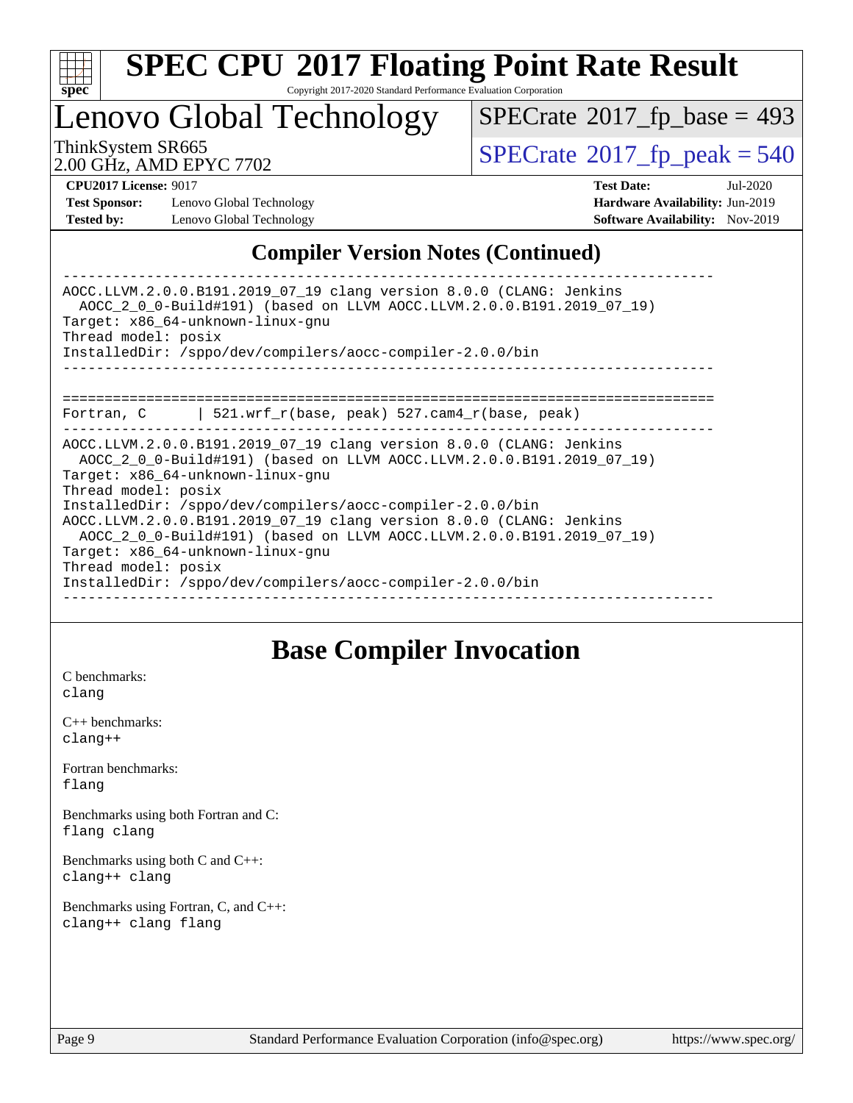

Copyright 2017-2020 Standard Performance Evaluation Corporation

## Lenovo Global Technology

 $SPECTate$ <sup>®</sup>[2017\\_fp\\_base =](http://www.spec.org/auto/cpu2017/Docs/result-fields.html#SPECrate2017fpbase) 493

2.00 GHz, AMD EPYC 7702

ThinkSystem SR665<br>2.00 GHz, AMD EPYC 7702

**[Test Sponsor:](http://www.spec.org/auto/cpu2017/Docs/result-fields.html#TestSponsor)** Lenovo Global Technology **[Hardware Availability:](http://www.spec.org/auto/cpu2017/Docs/result-fields.html#HardwareAvailability)** Jun-2019 **[Tested by:](http://www.spec.org/auto/cpu2017/Docs/result-fields.html#Testedby)** Lenovo Global Technology **[Software Availability:](http://www.spec.org/auto/cpu2017/Docs/result-fields.html#SoftwareAvailability)** Nov-2019

**[CPU2017 License:](http://www.spec.org/auto/cpu2017/Docs/result-fields.html#CPU2017License)** 9017 **[Test Date:](http://www.spec.org/auto/cpu2017/Docs/result-fields.html#TestDate)** Jul-2020

#### **[Compiler Version Notes \(Continued\)](http://www.spec.org/auto/cpu2017/Docs/result-fields.html#CompilerVersionNotes)**

------------------------------------------------------------------------------ AOCC.LLVM.2.0.0.B191.2019\_07\_19 clang version 8.0.0 (CLANG: Jenkins AOCC\_2\_0\_0-Build#191) (based on LLVM AOCC.LLVM.2.0.0.B191.2019\_07\_19) Target: x86\_64-unknown-linux-gnu Thread model: posix InstalledDir: /sppo/dev/compilers/aocc-compiler-2.0.0/bin ------------------------------------------------------------------------------ ============================================================================== Fortran, C | 521.wrf\_r(base, peak) 527.cam4\_r(base, peak) ------------------------------------------------------------------------------ AOCC.LLVM.2.0.0.B191.2019\_07\_19 clang version 8.0.0 (CLANG: Jenkins AOCC\_2\_0\_0-Build#191) (based on LLVM AOCC.LLVM.2.0.0.B191.2019\_07\_19) Target: x86\_64-unknown-linux-gnu Thread model: posix InstalledDir: /sppo/dev/compilers/aocc-compiler-2.0.0/bin AOCC.LLVM.2.0.0.B191.2019\_07\_19 clang version 8.0.0 (CLANG: Jenkins AOCC\_2\_0\_0-Build#191) (based on LLVM AOCC.LLVM.2.0.0.B191.2019\_07\_19) Target: x86\_64-unknown-linux-gnu Thread model: posix InstalledDir: /sppo/dev/compilers/aocc-compiler-2.0.0/bin ------------------------------------------------------------------------------

#### **[Base Compiler Invocation](http://www.spec.org/auto/cpu2017/Docs/result-fields.html#BaseCompilerInvocation)**

[C benchmarks](http://www.spec.org/auto/cpu2017/Docs/result-fields.html#Cbenchmarks): [clang](http://www.spec.org/cpu2017/results/res2020q3/cpu2017-20200720-23561.flags.html#user_CCbase_clang-c)

[C++ benchmarks:](http://www.spec.org/auto/cpu2017/Docs/result-fields.html#CXXbenchmarks) [clang++](http://www.spec.org/cpu2017/results/res2020q3/cpu2017-20200720-23561.flags.html#user_CXXbase_clang-cpp)

[Fortran benchmarks](http://www.spec.org/auto/cpu2017/Docs/result-fields.html#Fortranbenchmarks): [flang](http://www.spec.org/cpu2017/results/res2020q3/cpu2017-20200720-23561.flags.html#user_FCbase_flang)

[Benchmarks using both Fortran and C](http://www.spec.org/auto/cpu2017/Docs/result-fields.html#BenchmarksusingbothFortranandC): [flang](http://www.spec.org/cpu2017/results/res2020q3/cpu2017-20200720-23561.flags.html#user_CC_FCbase_flang) [clang](http://www.spec.org/cpu2017/results/res2020q3/cpu2017-20200720-23561.flags.html#user_CC_FCbase_clang-c)

[Benchmarks using both C and C++](http://www.spec.org/auto/cpu2017/Docs/result-fields.html#BenchmarksusingbothCandCXX): [clang++](http://www.spec.org/cpu2017/results/res2020q3/cpu2017-20200720-23561.flags.html#user_CC_CXXbase_clang-cpp) [clang](http://www.spec.org/cpu2017/results/res2020q3/cpu2017-20200720-23561.flags.html#user_CC_CXXbase_clang-c)

[Benchmarks using Fortran, C, and C++:](http://www.spec.org/auto/cpu2017/Docs/result-fields.html#BenchmarksusingFortranCandCXX) [clang++](http://www.spec.org/cpu2017/results/res2020q3/cpu2017-20200720-23561.flags.html#user_CC_CXX_FCbase_clang-cpp) [clang](http://www.spec.org/cpu2017/results/res2020q3/cpu2017-20200720-23561.flags.html#user_CC_CXX_FCbase_clang-c) [flang](http://www.spec.org/cpu2017/results/res2020q3/cpu2017-20200720-23561.flags.html#user_CC_CXX_FCbase_flang)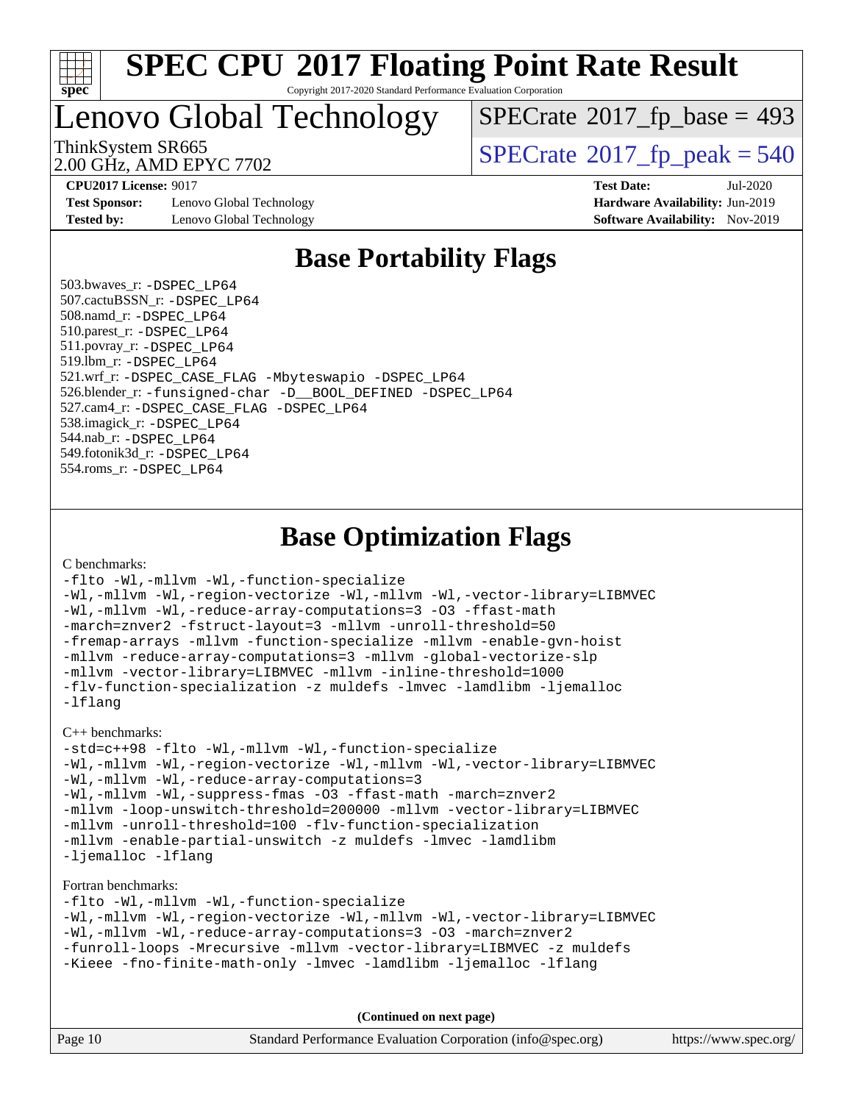

Copyright 2017-2020 Standard Performance Evaluation Corporation

### Lenovo Global Technology

 $SPECrate$ <sup>®</sup>[2017\\_fp\\_base =](http://www.spec.org/auto/cpu2017/Docs/result-fields.html#SPECrate2017fpbase) 493

2.00 GHz, AMD EPYC 7702

ThinkSystem SR665<br>2.00 GHz, AMD EPYC 7702

**[Test Sponsor:](http://www.spec.org/auto/cpu2017/Docs/result-fields.html#TestSponsor)** Lenovo Global Technology **[Hardware Availability:](http://www.spec.org/auto/cpu2017/Docs/result-fields.html#HardwareAvailability)** Jun-2019 **[Tested by:](http://www.spec.org/auto/cpu2017/Docs/result-fields.html#Testedby)** Lenovo Global Technology **[Software Availability:](http://www.spec.org/auto/cpu2017/Docs/result-fields.html#SoftwareAvailability)** Nov-2019

**[CPU2017 License:](http://www.spec.org/auto/cpu2017/Docs/result-fields.html#CPU2017License)** 9017 **[Test Date:](http://www.spec.org/auto/cpu2017/Docs/result-fields.html#TestDate)** Jul-2020

### **[Base Portability Flags](http://www.spec.org/auto/cpu2017/Docs/result-fields.html#BasePortabilityFlags)**

 503.bwaves\_r: [-DSPEC\\_LP64](http://www.spec.org/cpu2017/results/res2020q3/cpu2017-20200720-23561.flags.html#suite_baseEXTRA_PORTABILITY503_bwaves_r_DSPEC_LP64) 507.cactuBSSN\_r: [-DSPEC\\_LP64](http://www.spec.org/cpu2017/results/res2020q3/cpu2017-20200720-23561.flags.html#suite_baseEXTRA_PORTABILITY507_cactuBSSN_r_DSPEC_LP64) 508.namd\_r: [-DSPEC\\_LP64](http://www.spec.org/cpu2017/results/res2020q3/cpu2017-20200720-23561.flags.html#suite_baseEXTRA_PORTABILITY508_namd_r_DSPEC_LP64) 510.parest\_r: [-DSPEC\\_LP64](http://www.spec.org/cpu2017/results/res2020q3/cpu2017-20200720-23561.flags.html#suite_baseEXTRA_PORTABILITY510_parest_r_DSPEC_LP64) 511.povray\_r: [-DSPEC\\_LP64](http://www.spec.org/cpu2017/results/res2020q3/cpu2017-20200720-23561.flags.html#suite_baseEXTRA_PORTABILITY511_povray_r_DSPEC_LP64) 519.lbm\_r: [-DSPEC\\_LP64](http://www.spec.org/cpu2017/results/res2020q3/cpu2017-20200720-23561.flags.html#suite_baseEXTRA_PORTABILITY519_lbm_r_DSPEC_LP64) 521.wrf\_r: [-DSPEC\\_CASE\\_FLAG](http://www.spec.org/cpu2017/results/res2020q3/cpu2017-20200720-23561.flags.html#b521.wrf_r_baseCPORTABILITY_DSPEC_CASE_FLAG) [-Mbyteswapio](http://www.spec.org/cpu2017/results/res2020q3/cpu2017-20200720-23561.flags.html#user_baseFPORTABILITY521_wrf_r_F-mbyteswapio_543c39ce38db59bcbc3b888917ef58c313007ae1c27520b689e012995ae261114051d1d5efcb4182d175ce22a6a15532d3a9999882dd2c360e6d853f41da6883) [-DSPEC\\_LP64](http://www.spec.org/cpu2017/results/res2020q3/cpu2017-20200720-23561.flags.html#suite_baseEXTRA_PORTABILITY521_wrf_r_DSPEC_LP64) 526.blender\_r: [-funsigned-char](http://www.spec.org/cpu2017/results/res2020q3/cpu2017-20200720-23561.flags.html#user_baseCPORTABILITY526_blender_r_aocc-unsigned-char) [-D\\_\\_BOOL\\_DEFINED](http://www.spec.org/cpu2017/results/res2020q3/cpu2017-20200720-23561.flags.html#b526.blender_r_baseCXXPORTABILITY_D__BOOL_DEFINED) [-DSPEC\\_LP64](http://www.spec.org/cpu2017/results/res2020q3/cpu2017-20200720-23561.flags.html#suite_baseEXTRA_PORTABILITY526_blender_r_DSPEC_LP64) 527.cam4\_r: [-DSPEC\\_CASE\\_FLAG](http://www.spec.org/cpu2017/results/res2020q3/cpu2017-20200720-23561.flags.html#b527.cam4_r_basePORTABILITY_DSPEC_CASE_FLAG) [-DSPEC\\_LP64](http://www.spec.org/cpu2017/results/res2020q3/cpu2017-20200720-23561.flags.html#suite_baseEXTRA_PORTABILITY527_cam4_r_DSPEC_LP64) 538.imagick\_r: [-DSPEC\\_LP64](http://www.spec.org/cpu2017/results/res2020q3/cpu2017-20200720-23561.flags.html#suite_baseEXTRA_PORTABILITY538_imagick_r_DSPEC_LP64) 544.nab\_r: [-DSPEC\\_LP64](http://www.spec.org/cpu2017/results/res2020q3/cpu2017-20200720-23561.flags.html#suite_baseEXTRA_PORTABILITY544_nab_r_DSPEC_LP64) 549.fotonik3d\_r: [-DSPEC\\_LP64](http://www.spec.org/cpu2017/results/res2020q3/cpu2017-20200720-23561.flags.html#suite_baseEXTRA_PORTABILITY549_fotonik3d_r_DSPEC_LP64) 554.roms\_r: [-DSPEC\\_LP64](http://www.spec.org/cpu2017/results/res2020q3/cpu2017-20200720-23561.flags.html#suite_baseEXTRA_PORTABILITY554_roms_r_DSPEC_LP64)

#### **[Base Optimization Flags](http://www.spec.org/auto/cpu2017/Docs/result-fields.html#BaseOptimizationFlags)**

[C benchmarks](http://www.spec.org/auto/cpu2017/Docs/result-fields.html#Cbenchmarks):

```
-flto -Wl,-mllvm -Wl,-function-specialize
-Wl,-mllvm -Wl,-region-vectorize -Wl,-mllvm -Wl,-vector-library=LIBMVEC
-Wl,-mllvm -Wl,-reduce-array-computations=3 -O3 -ffast-math
-march=znver2 -fstruct-layout=3 -mllvm -unroll-threshold=50
-fremap-arrays -mllvm -function-specialize -mllvm -enable-gvn-hoist
-mllvm -reduce-array-computations=3 -mllvm -global-vectorize-slp
-mllvm -vector-library=LIBMVEC -mllvm -inline-threshold=1000
-flv-function-specialization -z muldefs -lmvec -lamdlibm -ljemalloc
-lflang
```
[C++ benchmarks:](http://www.spec.org/auto/cpu2017/Docs/result-fields.html#CXXbenchmarks)

```
-std=c++98 -flto -Wl,-mllvm -Wl,-function-specialize
-Wl,-mllvm -Wl,-region-vectorize -Wl,-mllvm -Wl,-vector-library=LIBMVEC
-Wl,-mllvm -Wl,-reduce-array-computations=3
-Wl,-mllvm -Wl,-suppress-fmas -O3 -ffast-math -march=znver2
-mllvm -loop-unswitch-threshold=200000 -mllvm -vector-library=LIBMVEC
-mllvm -unroll-threshold=100 -flv-function-specialization
-mllvm -enable-partial-unswitch -z muldefs -lmvec -lamdlibm
-ljemalloc -lflang
```
[Fortran benchmarks](http://www.spec.org/auto/cpu2017/Docs/result-fields.html#Fortranbenchmarks):

```
-flto -Wl,-mllvm -Wl,-function-specialize
-Wl,-mllvm -Wl,-region-vectorize -Wl,-mllvm -Wl,-vector-library=LIBMVEC
-Wl,-mllvm -Wl,-reduce-array-computations=3 -O3 -march=znver2
-funroll-loops -Mrecursive -mllvm -vector-library=LIBMVEC -z muldefs
-Kieee -fno-finite-math-only -lmvec -lamdlibm -ljemalloc -lflang
```

| Page 10 | Standard Performance Evaluation Corporation (info@spec.org) | https://www.spec.org/ |
|---------|-------------------------------------------------------------|-----------------------|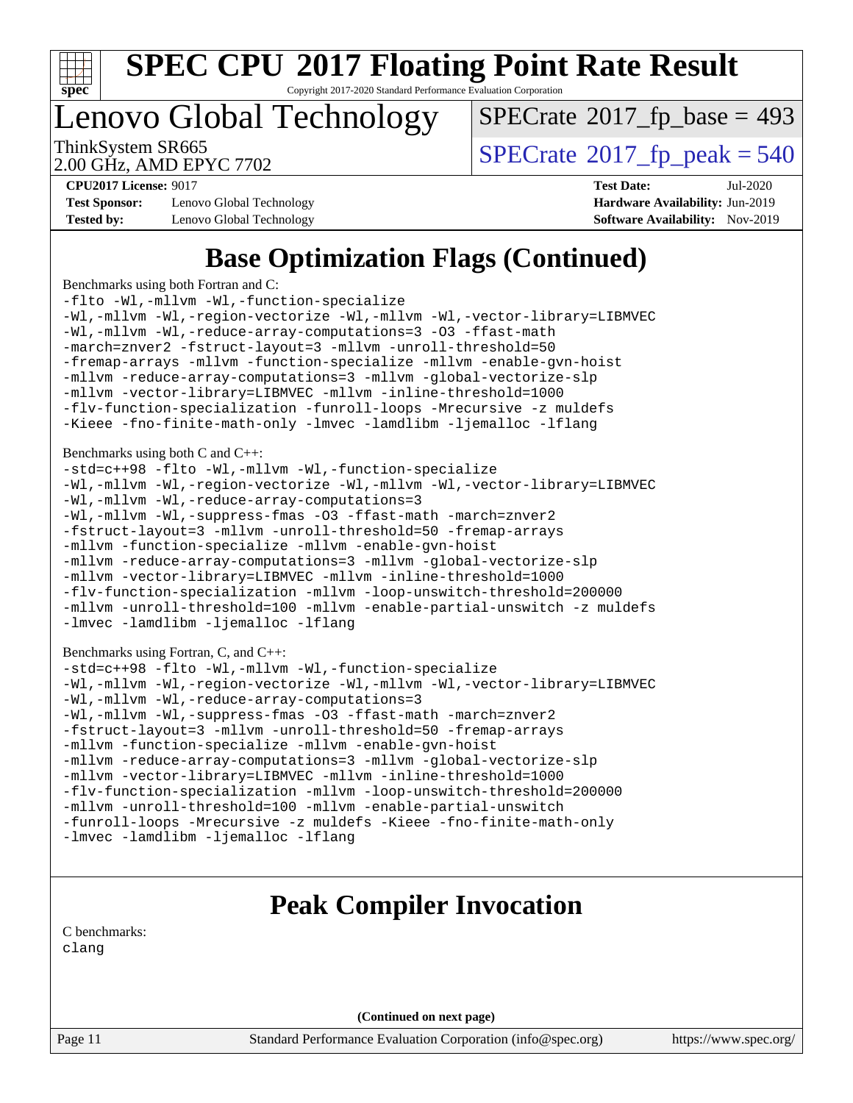

Copyright 2017-2020 Standard Performance Evaluation Corporation

### Lenovo Global Technology

 $SPECTate$ <sup>®</sup>[2017\\_fp\\_base =](http://www.spec.org/auto/cpu2017/Docs/result-fields.html#SPECrate2017fpbase) 493

2.00 GHz, AMD EPYC 7702

ThinkSystem SR665<br>2.00 GHz AMD EPYC 7702  $\vert$  [SPECrate](http://www.spec.org/auto/cpu2017/Docs/result-fields.html#SPECrate2017fppeak)®[2017\\_fp\\_peak = 5](http://www.spec.org/auto/cpu2017/Docs/result-fields.html#SPECrate2017fppeak)40

**[Test Sponsor:](http://www.spec.org/auto/cpu2017/Docs/result-fields.html#TestSponsor)** Lenovo Global Technology **[Hardware Availability:](http://www.spec.org/auto/cpu2017/Docs/result-fields.html#HardwareAvailability)** Jun-2019 **[Tested by:](http://www.spec.org/auto/cpu2017/Docs/result-fields.html#Testedby)** Lenovo Global Technology **[Software Availability:](http://www.spec.org/auto/cpu2017/Docs/result-fields.html#SoftwareAvailability)** Nov-2019

**[CPU2017 License:](http://www.spec.org/auto/cpu2017/Docs/result-fields.html#CPU2017License)** 9017 **[Test Date:](http://www.spec.org/auto/cpu2017/Docs/result-fields.html#TestDate)** Jul-2020

### **[Base Optimization Flags \(Continued\)](http://www.spec.org/auto/cpu2017/Docs/result-fields.html#BaseOptimizationFlags)**

[Benchmarks using both Fortran and C](http://www.spec.org/auto/cpu2017/Docs/result-fields.html#BenchmarksusingbothFortranandC):

```
-flto -Wl,-mllvm -Wl,-function-specialize
-Wl,-mllvm -Wl,-region-vectorize -Wl,-mllvm -Wl,-vector-library=LIBMVEC
-Wl,-mllvm -Wl,-reduce-array-computations=3 -O3 -ffast-math
-march=znver2 -fstruct-layout=3 -mllvm -unroll-threshold=50
-fremap-arrays -mllvm -function-specialize -mllvm -enable-gvn-hoist
-mllvm -reduce-array-computations=3 -mllvm -global-vectorize-slp
-mllvm -vector-library=LIBMVEC -mllvm -inline-threshold=1000
-flv-function-specialization -funroll-loops -Mrecursive -z muldefs
-Kieee -fno-finite-math-only -lmvec -lamdlibm -ljemalloc -lflang
Benchmarks using both C and C++: 
-std=c++98 -flto -Wl,-mllvm -Wl,-function-specialize
-Wl,-mllvm -Wl,-region-vectorize -Wl,-mllvm -Wl,-vector-library=LIBMVEC
-Wl,-mllvm -Wl,-reduce-array-computations=3
-Wl,-mllvm -Wl,-suppress-fmas -O3 -ffast-math -march=znver2
-fstruct-layout=3 -mllvm -unroll-threshold=50 -fremap-arrays
-mllvm -function-specialize -mllvm -enable-gvn-hoist
-mllvm -reduce-array-computations=3 -mllvm -global-vectorize-slp
-mllvm -vector-library=LIBMVEC -mllvm -inline-threshold=1000
-flv-function-specialization -mllvm -loop-unswitch-threshold=200000
-mllvm -unroll-threshold=100 -mllvm -enable-partial-unswitch -z muldefs
-lmvec -lamdlibm -ljemalloc -lflang
Benchmarks using Fortran, C, and C++: 
-std=c++98 -flto -Wl,-mllvm -Wl,-function-specialize
-Wl,-mllvm -Wl,-region-vectorize -Wl,-mllvm -Wl,-vector-library=LIBMVEC
-Wl,-mllvm -Wl,-reduce-array-computations=3
-Wl,-mllvm -Wl,-suppress-fmas -O3 -ffast-math -march=znver2
-fstruct-layout=3 -mllvm -unroll-threshold=50 -fremap-arrays
-mllvm -function-specialize -mllvm -enable-gvn-hoist
-mllvm -reduce-array-computations=3 -mllvm -global-vectorize-slp
-mllvm -vector-library=LIBMVEC -mllvm -inline-threshold=1000
-flv-function-specialization -mllvm -loop-unswitch-threshold=200000
```
[-mllvm -unroll-threshold=100](http://www.spec.org/cpu2017/results/res2020q3/cpu2017-20200720-23561.flags.html#user_CC_CXX_FCbase_F-unroll-threshold_2755d0c78138845d361fa1543e3a063fffa198df9b3edf0cfb856bbc88a81e1769b12ac7a550c5d35197be55360db1a3f95a8d1304df999456cabf5120c45168) [-mllvm -enable-partial-unswitch](http://www.spec.org/cpu2017/results/res2020q3/cpu2017-20200720-23561.flags.html#user_CC_CXX_FCbase_F-enable-partial-unswitch_6e1c33f981d77963b1eaf834973128a7f33ce3f8e27f54689656697a35e89dcc875281e0e6283d043e32f367dcb605ba0e307a92e830f7e326789fa6c61b35d3) [-funroll-loops](http://www.spec.org/cpu2017/results/res2020q3/cpu2017-20200720-23561.flags.html#user_CC_CXX_FCbase_aocc-unroll-loops) [-Mrecursive](http://www.spec.org/cpu2017/results/res2020q3/cpu2017-20200720-23561.flags.html#user_CC_CXX_FCbase_F-mrecursive_20a145d63f12d5750a899e17d4450b5b8b40330a9bb4af13688ca650e6fb30857bbbe44fb35cdbb895df6e5b2769de0a0d7659f51ff17acfbef6febafec4023f) [-z muldefs](http://www.spec.org/cpu2017/results/res2020q3/cpu2017-20200720-23561.flags.html#user_CC_CXX_FCbase_aocc-muldefs) [-Kieee](http://www.spec.org/cpu2017/results/res2020q3/cpu2017-20200720-23561.flags.html#user_CC_CXX_FCbase_F-kieee) [-fno-finite-math-only](http://www.spec.org/cpu2017/results/res2020q3/cpu2017-20200720-23561.flags.html#user_CC_CXX_FCbase_aocc-fno-finite-math-only)

[-lmvec](http://www.spec.org/cpu2017/results/res2020q3/cpu2017-20200720-23561.flags.html#user_CC_CXX_FCbase_F-lmvec) [-lamdlibm](http://www.spec.org/cpu2017/results/res2020q3/cpu2017-20200720-23561.flags.html#user_CC_CXX_FCbase_F-lamdlibm) [-ljemalloc](http://www.spec.org/cpu2017/results/res2020q3/cpu2017-20200720-23561.flags.html#user_CC_CXX_FCbase_jemalloc-lib) [-lflang](http://www.spec.org/cpu2017/results/res2020q3/cpu2017-20200720-23561.flags.html#user_CC_CXX_FCbase_F-lflang)

### **[Peak Compiler Invocation](http://www.spec.org/auto/cpu2017/Docs/result-fields.html#PeakCompilerInvocation)**

[C benchmarks](http://www.spec.org/auto/cpu2017/Docs/result-fields.html#Cbenchmarks): [clang](http://www.spec.org/cpu2017/results/res2020q3/cpu2017-20200720-23561.flags.html#user_CCpeak_clang-c)

**(Continued on next page)**

Page 11 Standard Performance Evaluation Corporation [\(info@spec.org\)](mailto:info@spec.org) <https://www.spec.org/>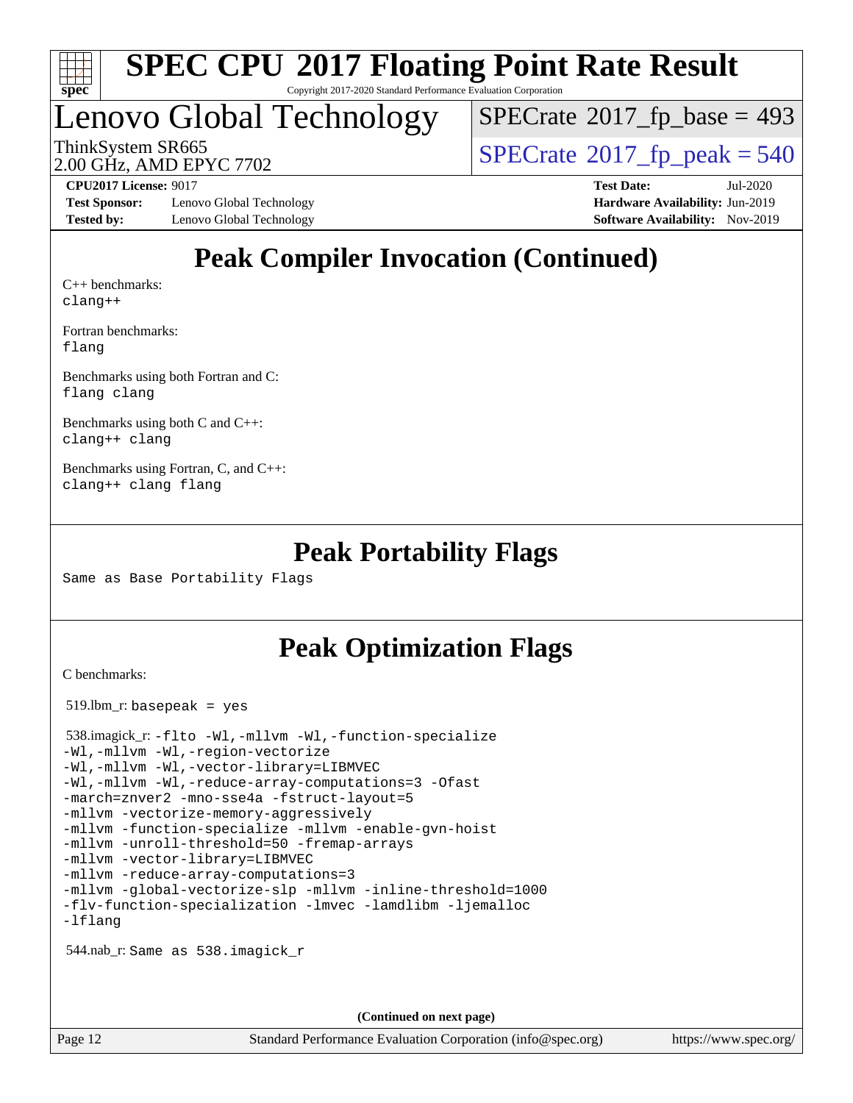

Copyright 2017-2020 Standard Performance Evaluation Corporation

### Lenovo Global Technology

 $SPECTate$ <sup>®</sup>[2017\\_fp\\_base =](http://www.spec.org/auto/cpu2017/Docs/result-fields.html#SPECrate2017fpbase) 493

2.00 GHz, AMD EPYC 7702

ThinkSystem SR665<br>2.00 GHz, AMD EPYC 7702

**[Test Sponsor:](http://www.spec.org/auto/cpu2017/Docs/result-fields.html#TestSponsor)** Lenovo Global Technology **[Hardware Availability:](http://www.spec.org/auto/cpu2017/Docs/result-fields.html#HardwareAvailability)** Jun-2019 **[Tested by:](http://www.spec.org/auto/cpu2017/Docs/result-fields.html#Testedby)** Lenovo Global Technology **[Software Availability:](http://www.spec.org/auto/cpu2017/Docs/result-fields.html#SoftwareAvailability)** Nov-2019

**[CPU2017 License:](http://www.spec.org/auto/cpu2017/Docs/result-fields.html#CPU2017License)** 9017 **[Test Date:](http://www.spec.org/auto/cpu2017/Docs/result-fields.html#TestDate)** Jul-2020

### **[Peak Compiler Invocation \(Continued\)](http://www.spec.org/auto/cpu2017/Docs/result-fields.html#PeakCompilerInvocation)**

[C++ benchmarks:](http://www.spec.org/auto/cpu2017/Docs/result-fields.html#CXXbenchmarks) [clang++](http://www.spec.org/cpu2017/results/res2020q3/cpu2017-20200720-23561.flags.html#user_CXXpeak_clang-cpp)

[Fortran benchmarks](http://www.spec.org/auto/cpu2017/Docs/result-fields.html#Fortranbenchmarks): [flang](http://www.spec.org/cpu2017/results/res2020q3/cpu2017-20200720-23561.flags.html#user_FCpeak_flang)

[Benchmarks using both Fortran and C](http://www.spec.org/auto/cpu2017/Docs/result-fields.html#BenchmarksusingbothFortranandC): [flang](http://www.spec.org/cpu2017/results/res2020q3/cpu2017-20200720-23561.flags.html#user_CC_FCpeak_flang) [clang](http://www.spec.org/cpu2017/results/res2020q3/cpu2017-20200720-23561.flags.html#user_CC_FCpeak_clang-c)

[Benchmarks using both C and C++](http://www.spec.org/auto/cpu2017/Docs/result-fields.html#BenchmarksusingbothCandCXX): [clang++](http://www.spec.org/cpu2017/results/res2020q3/cpu2017-20200720-23561.flags.html#user_CC_CXXpeak_clang-cpp) [clang](http://www.spec.org/cpu2017/results/res2020q3/cpu2017-20200720-23561.flags.html#user_CC_CXXpeak_clang-c)

[Benchmarks using Fortran, C, and C++:](http://www.spec.org/auto/cpu2017/Docs/result-fields.html#BenchmarksusingFortranCandCXX) [clang++](http://www.spec.org/cpu2017/results/res2020q3/cpu2017-20200720-23561.flags.html#user_CC_CXX_FCpeak_clang-cpp) [clang](http://www.spec.org/cpu2017/results/res2020q3/cpu2017-20200720-23561.flags.html#user_CC_CXX_FCpeak_clang-c) [flang](http://www.spec.org/cpu2017/results/res2020q3/cpu2017-20200720-23561.flags.html#user_CC_CXX_FCpeak_flang)

#### **[Peak Portability Flags](http://www.spec.org/auto/cpu2017/Docs/result-fields.html#PeakPortabilityFlags)**

Same as Base Portability Flags

#### **[Peak Optimization Flags](http://www.spec.org/auto/cpu2017/Docs/result-fields.html#PeakOptimizationFlags)**

[C benchmarks](http://www.spec.org/auto/cpu2017/Docs/result-fields.html#Cbenchmarks):

519.lbm\_r: basepeak = yes

```
 538.imagick_r: -flto -Wl,-mllvm -Wl,-function-specialize
-Wl,-mllvm -Wl,-region-vectorize
-Wl,-mllvm -Wl,-vector-library=LIBMVEC
-Wl,-mllvm -Wl,-reduce-array-computations=3 -Ofast
-march=znver2 -mno-sse4a -fstruct-layout=5
-mllvm -vectorize-memory-aggressively
-mllvm -function-specialize -mllvm -enable-gvn-hoist
-mllvm -unroll-threshold=50 -fremap-arrays
-mllvm -vector-library=LIBMVEC
-mllvm -reduce-array-computations=3
-mllvm -global-vectorize-slp -mllvm -inline-threshold=1000
-flv-function-specialization -lmvec -lamdlibm -ljemalloc
-lflang
```
544.nab\_r: Same as 538.imagick\_r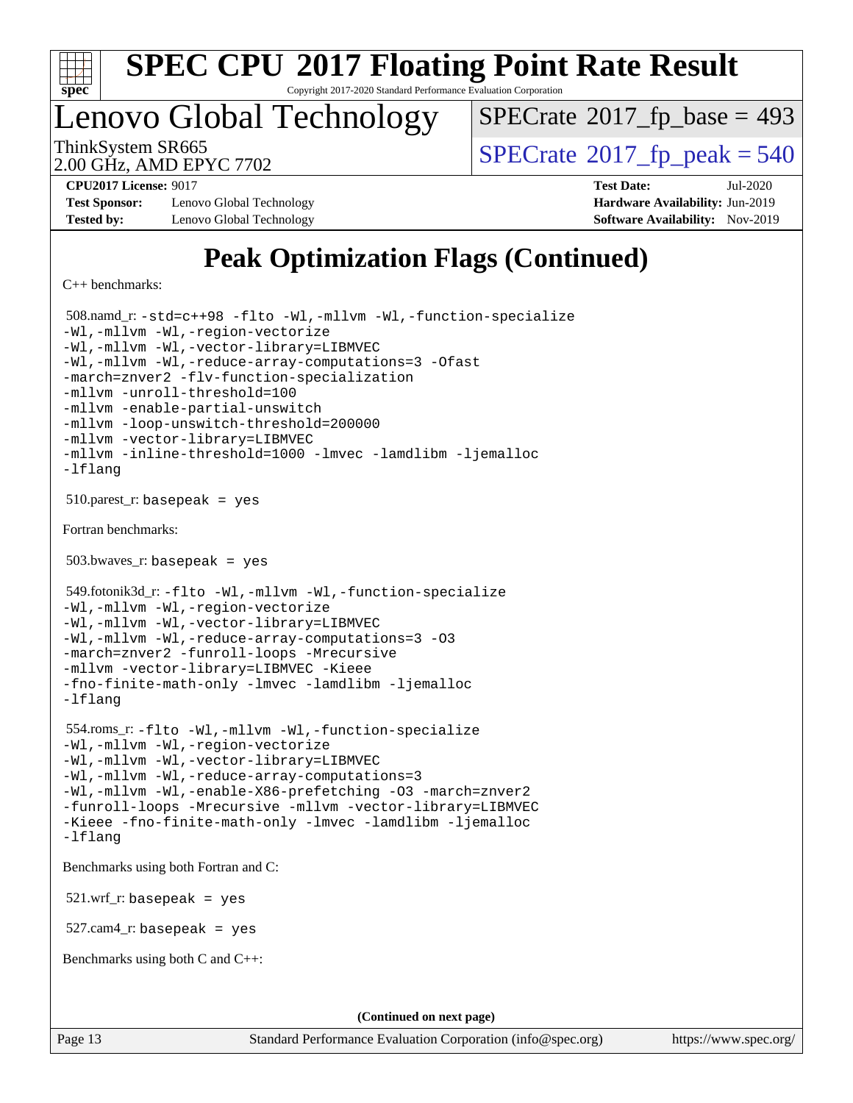

Copyright 2017-2020 Standard Performance Evaluation Corporation

### Lenovo Global Technology

 $SPECTate$ <sup>®</sup>[2017\\_fp\\_base =](http://www.spec.org/auto/cpu2017/Docs/result-fields.html#SPECrate2017fpbase) 493

2.00 GHz, AMD EPYC 7702

ThinkSystem SR665<br>2.00 GHz, AMD EPYC 7702

**[Test Sponsor:](http://www.spec.org/auto/cpu2017/Docs/result-fields.html#TestSponsor)** Lenovo Global Technology **[Hardware Availability:](http://www.spec.org/auto/cpu2017/Docs/result-fields.html#HardwareAvailability)** Jun-2019 **[Tested by:](http://www.spec.org/auto/cpu2017/Docs/result-fields.html#Testedby)** Lenovo Global Technology **[Software Availability:](http://www.spec.org/auto/cpu2017/Docs/result-fields.html#SoftwareAvailability)** Nov-2019

**[CPU2017 License:](http://www.spec.org/auto/cpu2017/Docs/result-fields.html#CPU2017License)** 9017 **[Test Date:](http://www.spec.org/auto/cpu2017/Docs/result-fields.html#TestDate)** Jul-2020

### **[Peak Optimization Flags \(Continued\)](http://www.spec.org/auto/cpu2017/Docs/result-fields.html#PeakOptimizationFlags)**

[C++ benchmarks:](http://www.spec.org/auto/cpu2017/Docs/result-fields.html#CXXbenchmarks)

```
 508.namd_r: -std=c++98 -flto -Wl,-mllvm -Wl,-function-specialize
-Wl,-mllvm -Wl,-region-vectorize
-Wl,-mllvm -Wl,-vector-library=LIBMVEC
-Wl,-mllvm -Wl,-reduce-array-computations=3 -Ofast
-march=znver2 -flv-function-specialization
-mllvm -unroll-threshold=100
-mllvm -enable-partial-unswitch
-mllvm -loop-unswitch-threshold=200000
-mllvm -vector-library=LIBMVEC
-mllvm -inline-threshold=1000 -lmvec -lamdlibm -ljemalloc
-lflang
510.parest_r: basepeak = yes
Fortran benchmarks: 
503.bwaves r: basepeak = yes
 549.fotonik3d_r: -flto -Wl,-mllvm -Wl,-function-specialize
-Wl,-mllvm -Wl,-region-vectorize
-Wl,-mllvm -Wl,-vector-library=LIBMVEC
-Wl,-mllvm -Wl,-reduce-array-computations=3 -O3
-march=znver2 -funroll-loops -Mrecursive
-mllvm -vector-library=LIBMVEC -Kieee
-fno-finite-math-only -lmvec -lamdlibm -ljemalloc
-lflang
 554.roms_r: -flto -Wl,-mllvm -Wl,-function-specialize
-Wl,-mllvm -Wl,-region-vectorize
-Wl,-mllvm -Wl,-vector-library=LIBMVEC
-Wl,-mllvm -Wl,-reduce-array-computations=3
-Wl,-mllvm -Wl,-enable-X86-prefetching -O3 -march=znver2
-funroll-loops -Mrecursive -mllvm -vector-library=LIBMVEC
-Kieee -fno-finite-math-only -lmvec -lamdlibm -ljemalloc
-lflang
Benchmarks using both Fortran and C: 
 521.wrf_r: basepeak = yes
527.cam4_r: basepeak = yes
Benchmarks using both C and C++: 
                                     (Continued on next page)
```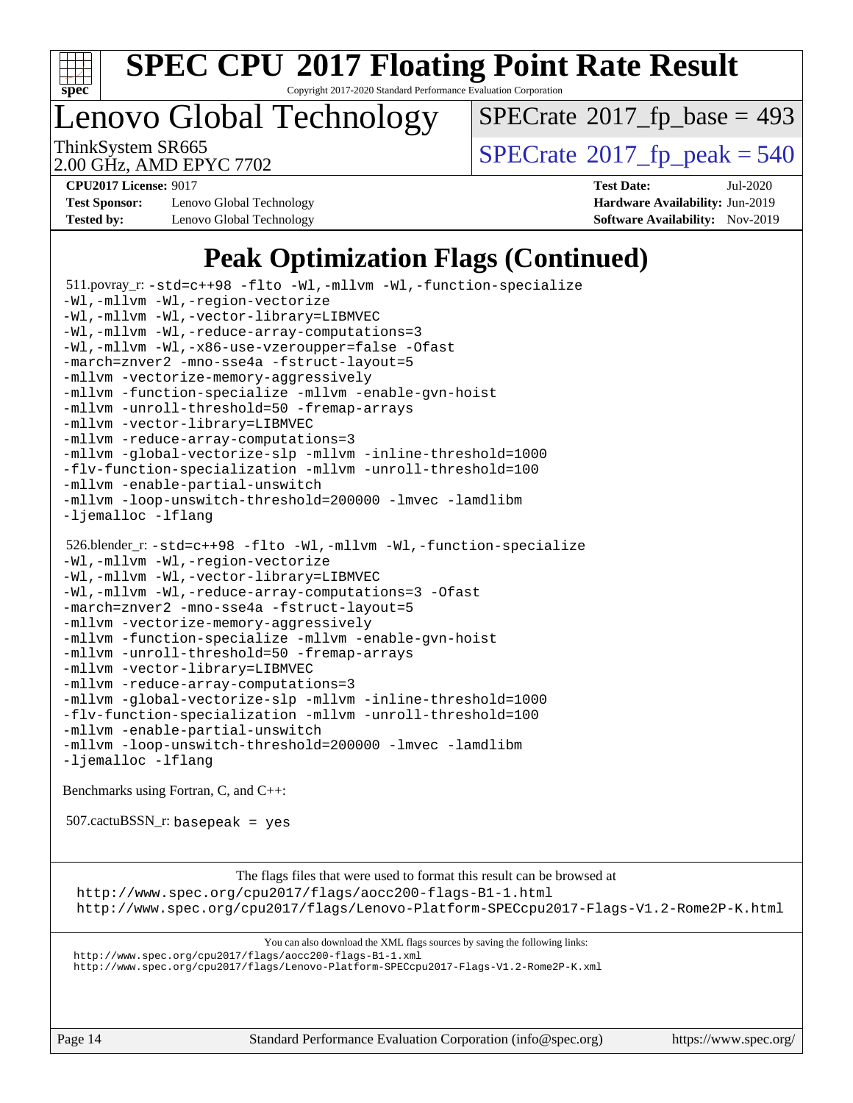

Copyright 2017-2020 Standard Performance Evaluation Corporation

Lenovo Global Technology

 $SPECTate$ <sup>®</sup>[2017\\_fp\\_base =](http://www.spec.org/auto/cpu2017/Docs/result-fields.html#SPECrate2017fpbase) 493

2.00 GHz, AMD EPYC 7702

ThinkSystem SR665<br>2.00 GHz, AMD EPYC 7702

**[Test Sponsor:](http://www.spec.org/auto/cpu2017/Docs/result-fields.html#TestSponsor)** Lenovo Global Technology **[Hardware Availability:](http://www.spec.org/auto/cpu2017/Docs/result-fields.html#HardwareAvailability)** Jun-2019 **[Tested by:](http://www.spec.org/auto/cpu2017/Docs/result-fields.html#Testedby)** Lenovo Global Technology **[Software Availability:](http://www.spec.org/auto/cpu2017/Docs/result-fields.html#SoftwareAvailability)** Nov-2019

**[CPU2017 License:](http://www.spec.org/auto/cpu2017/Docs/result-fields.html#CPU2017License)** 9017 **[Test Date:](http://www.spec.org/auto/cpu2017/Docs/result-fields.html#TestDate)** Jul-2020

### **[Peak Optimization Flags \(Continued\)](http://www.spec.org/auto/cpu2017/Docs/result-fields.html#PeakOptimizationFlags)**

 511.povray\_r: [-std=c++98](http://www.spec.org/cpu2017/results/res2020q3/cpu2017-20200720-23561.flags.html#user_peakCXXLD511_povray_r_std-cpp) [-flto](http://www.spec.org/cpu2017/results/res2020q3/cpu2017-20200720-23561.flags.html#user_peakCOPTIMIZECXXOPTIMIZELDFLAGS511_povray_r_aocc-flto) [-Wl,-mllvm -Wl,-function-specialize](http://www.spec.org/cpu2017/results/res2020q3/cpu2017-20200720-23561.flags.html#user_peakLDFLAGS511_povray_r_F-function-specialize_7e7e661e57922243ee67c9a1251cb8910e607325179a0ce7f2884e09a6f5d4a5ef0ae4f37e8a2a11c95fc48e931f06dc2b6016f14b511fcb441e048bef1b065a) [-Wl,-mllvm -Wl,-region-vectorize](http://www.spec.org/cpu2017/results/res2020q3/cpu2017-20200720-23561.flags.html#user_peakLDFLAGS511_povray_r_F-region-vectorize_fb6c6b5aa293c88efc6c7c2b52b20755e943585b1fe8658c35afef78727fff56e1a56891413c30e36b8e2a6f9a71126986319243e80eb6110b78b288f533c52b) [-Wl,-mllvm -Wl,-vector-library=LIBMVEC](http://www.spec.org/cpu2017/results/res2020q3/cpu2017-20200720-23561.flags.html#user_peakLDFLAGS511_povray_r_F-use-vector-library_0a14b27fae317f283640384a31f7bfcc2bd4c1d0b5cfc618a3a430800c9b20217b00f61303eff223a3251b4f06ffbc9739dc5296db9d1fbb9ad24a3939d86d66) [-Wl,-mllvm -Wl,-reduce-array-computations=3](http://www.spec.org/cpu2017/results/res2020q3/cpu2017-20200720-23561.flags.html#user_peakLDFLAGS511_povray_r_F-reduce-array-computations_b882aefe7a5dda4e33149f6299762b9a720dace3e498e13756f4c04e5a19edf5315c1f3993de2e61ec41e8c206231f84e05da7040e1bb5d69ba27d10a12507e4) [-Wl,-mllvm -Wl,-x86-use-vzeroupper=false](http://www.spec.org/cpu2017/results/res2020q3/cpu2017-20200720-23561.flags.html#user_peakLDCXXFLAGS511_povray_r_F-no-vzeroupper_f792211b0552b0142c11cf651c85f88d7eca3e3e6d4ab29ab8b0b7be9c7d83df7aebb846b5dded1424ec84d39acb59d058815f97bc3ae9de4ba00ee4e2945c83) [-Ofast](http://www.spec.org/cpu2017/results/res2020q3/cpu2017-20200720-23561.flags.html#user_peakCOPTIMIZECXXOPTIMIZE511_povray_r_aocc-Ofast) [-march=znver2](http://www.spec.org/cpu2017/results/res2020q3/cpu2017-20200720-23561.flags.html#user_peakCOPTIMIZECXXOPTIMIZE511_povray_r_aocc-march_3e2e19cff2eeef60c5d90b059483627c9ea47eca6d66670dbd53f9185f6439e27eb5e104cf773e9e8ab18c8842ce63e461a3e948d0214bd567ef3ade411bf467) [-mno-sse4a](http://www.spec.org/cpu2017/results/res2020q3/cpu2017-20200720-23561.flags.html#user_peakCOPTIMIZE511_povray_r_F-mno-sse4a) [-fstruct-layout=5](http://www.spec.org/cpu2017/results/res2020q3/cpu2017-20200720-23561.flags.html#user_peakCOPTIMIZE511_povray_r_F-struct-layout_0de9d3561e9f54a54e0843cce081bd13a08ab3e9a82696f3346606c2e11360c37113781019b02fa128d9f650e68f1ffd209bab5c3a026c1ad23e4e7f60646b23) [-mllvm -vectorize-memory-aggressively](http://www.spec.org/cpu2017/results/res2020q3/cpu2017-20200720-23561.flags.html#user_peakCOPTIMIZE511_povray_r_F-vectorize-memory-aggressively_24b72a4417f50ade9e698c5b3bed87ab456cc6fc8ec6439480cb84f36ad6a3975af6e87206dea402e3871a1464ff3d60bc798e0250f330177ba629a260df1857) [-mllvm -function-specialize](http://www.spec.org/cpu2017/results/res2020q3/cpu2017-20200720-23561.flags.html#user_peakCOPTIMIZE511_povray_r_F-function-specialize_233b3bdba86027f1b094368157e481c5bc59f40286dc25bfadc1858dcd5745c24fd30d5f188710db7fea399bcc9f44a80b3ce3aacc70a8870250c3ae5e1f35b8) [-mllvm -enable-gvn-hoist](http://www.spec.org/cpu2017/results/res2020q3/cpu2017-20200720-23561.flags.html#user_peakCOPTIMIZE511_povray_r_F-enable-gvn-hoist_e5856354646dd6ca1333a0ad99b817e4cf8932b91b82809fd8fd47ceff7b22a89eba5c98fd3e3fa5200368fd772cec3dd56abc3c8f7b655a71b9f9848dddedd5) [-mllvm -unroll-threshold=50](http://www.spec.org/cpu2017/results/res2020q3/cpu2017-20200720-23561.flags.html#user_peakCOPTIMIZE511_povray_r_F-unroll-threshold_458874500b2c105d6d5cb4d7a611c40e2b16e9e3d26b355fea72d644c3673b4de4b3932662f0ed3dbec75c491a13da2d2ca81180bd779dc531083ef1e1e549dc) [-fremap-arrays](http://www.spec.org/cpu2017/results/res2020q3/cpu2017-20200720-23561.flags.html#user_peakCOPTIMIZE511_povray_r_F-fremap-arrays) [-mllvm -vector-library=LIBMVEC](http://www.spec.org/cpu2017/results/res2020q3/cpu2017-20200720-23561.flags.html#user_peakCOPTIMIZECXXOPTIMIZE511_povray_r_F-use-vector-library_e584e20b4f7ec96aa109254b65d8e01d864f3d68580371b9d93ed7c338191d4cfce20c3c864632264effc6bbe4c7c38153d02096a342ee92501c4a53204a7871) [-mllvm -reduce-array-computations=3](http://www.spec.org/cpu2017/results/res2020q3/cpu2017-20200720-23561.flags.html#user_peakCOPTIMIZE511_povray_r_F-reduce-array-computations_aceadb8604558b566e0e3a0d7a3c1533923dd1fa0889614e16288028922629a28d5695c24d3b3be4306b1e311c54317dfffe3a2e57fbcaabc737a1798de39145) [-mllvm -global-vectorize-slp](http://www.spec.org/cpu2017/results/res2020q3/cpu2017-20200720-23561.flags.html#user_peakCOPTIMIZE511_povray_r_F-global-vectorize-slp_a3935e8627af4ced727033b1ffd4db27f4d541a363d28d82bf4c2925fb3a0fd4115d6e42d13a2829f9e024d6608eb67a85cb49770f2da5c5ac8dbc737afad603) [-mllvm -inline-threshold=1000](http://www.spec.org/cpu2017/results/res2020q3/cpu2017-20200720-23561.flags.html#user_peakCOPTIMIZECXXOPTIMIZE511_povray_r_dragonegg-llvm-inline-threshold_b7832241b0a6397e4ecdbaf0eb7defdc10f885c2a282fa3240fdc99844d543fda39cf8a4a9dccf68cf19b5438ac3b455264f478df15da0f4988afa40d8243bab) [-flv-function-specialization](http://www.spec.org/cpu2017/results/res2020q3/cpu2017-20200720-23561.flags.html#user_peakCOPTIMIZECXXOPTIMIZE511_povray_r_F-flv-function-specialization) [-mllvm -unroll-threshold=100](http://www.spec.org/cpu2017/results/res2020q3/cpu2017-20200720-23561.flags.html#user_peakCXXOPTIMIZE511_povray_r_F-unroll-threshold_2755d0c78138845d361fa1543e3a063fffa198df9b3edf0cfb856bbc88a81e1769b12ac7a550c5d35197be55360db1a3f95a8d1304df999456cabf5120c45168) [-mllvm -enable-partial-unswitch](http://www.spec.org/cpu2017/results/res2020q3/cpu2017-20200720-23561.flags.html#user_peakCXXOPTIMIZE511_povray_r_F-enable-partial-unswitch_6e1c33f981d77963b1eaf834973128a7f33ce3f8e27f54689656697a35e89dcc875281e0e6283d043e32f367dcb605ba0e307a92e830f7e326789fa6c61b35d3) [-mllvm -loop-unswitch-threshold=200000](http://www.spec.org/cpu2017/results/res2020q3/cpu2017-20200720-23561.flags.html#user_peakCXXOPTIMIZE511_povray_r_F-loop-unswitch-threshold_f9a82ae3270e55b5fbf79d0d96ee93606b73edbbe527d20b18b7bff1a3a146ad50cfc7454c5297978340ae9213029016a7d16221274d672d3f7f42ed25274e1d) [-lmvec](http://www.spec.org/cpu2017/results/res2020q3/cpu2017-20200720-23561.flags.html#user_peakEXTRA_LIBS511_povray_r_F-lmvec) [-lamdlibm](http://www.spec.org/cpu2017/results/res2020q3/cpu2017-20200720-23561.flags.html#user_peakEXTRA_LIBS511_povray_r_F-lamdlibm) [-ljemalloc](http://www.spec.org/cpu2017/results/res2020q3/cpu2017-20200720-23561.flags.html#user_peakEXTRA_LIBS511_povray_r_jemalloc-lib) [-lflang](http://www.spec.org/cpu2017/results/res2020q3/cpu2017-20200720-23561.flags.html#user_peakEXTRA_LIBS511_povray_r_F-lflang) 526.blender\_r: [-std=c++98](http://www.spec.org/cpu2017/results/res2020q3/cpu2017-20200720-23561.flags.html#user_peakCXXLD526_blender_r_std-cpp) [-flto](http://www.spec.org/cpu2017/results/res2020q3/cpu2017-20200720-23561.flags.html#user_peakCOPTIMIZECXXOPTIMIZELDFLAGS526_blender_r_aocc-flto) [-Wl,-mllvm -Wl,-function-specialize](http://www.spec.org/cpu2017/results/res2020q3/cpu2017-20200720-23561.flags.html#user_peakLDFLAGS526_blender_r_F-function-specialize_7e7e661e57922243ee67c9a1251cb8910e607325179a0ce7f2884e09a6f5d4a5ef0ae4f37e8a2a11c95fc48e931f06dc2b6016f14b511fcb441e048bef1b065a) [-Wl,-mllvm -Wl,-region-vectorize](http://www.spec.org/cpu2017/results/res2020q3/cpu2017-20200720-23561.flags.html#user_peakLDFLAGS526_blender_r_F-region-vectorize_fb6c6b5aa293c88efc6c7c2b52b20755e943585b1fe8658c35afef78727fff56e1a56891413c30e36b8e2a6f9a71126986319243e80eb6110b78b288f533c52b) [-Wl,-mllvm -Wl,-vector-library=LIBMVEC](http://www.spec.org/cpu2017/results/res2020q3/cpu2017-20200720-23561.flags.html#user_peakLDFLAGS526_blender_r_F-use-vector-library_0a14b27fae317f283640384a31f7bfcc2bd4c1d0b5cfc618a3a430800c9b20217b00f61303eff223a3251b4f06ffbc9739dc5296db9d1fbb9ad24a3939d86d66) [-Wl,-mllvm -Wl,-reduce-array-computations=3](http://www.spec.org/cpu2017/results/res2020q3/cpu2017-20200720-23561.flags.html#user_peakLDFLAGS526_blender_r_F-reduce-array-computations_b882aefe7a5dda4e33149f6299762b9a720dace3e498e13756f4c04e5a19edf5315c1f3993de2e61ec41e8c206231f84e05da7040e1bb5d69ba27d10a12507e4) [-Ofast](http://www.spec.org/cpu2017/results/res2020q3/cpu2017-20200720-23561.flags.html#user_peakCOPTIMIZECXXOPTIMIZE526_blender_r_aocc-Ofast) [-march=znver2](http://www.spec.org/cpu2017/results/res2020q3/cpu2017-20200720-23561.flags.html#user_peakCOPTIMIZECXXOPTIMIZE526_blender_r_aocc-march_3e2e19cff2eeef60c5d90b059483627c9ea47eca6d66670dbd53f9185f6439e27eb5e104cf773e9e8ab18c8842ce63e461a3e948d0214bd567ef3ade411bf467) [-mno-sse4a](http://www.spec.org/cpu2017/results/res2020q3/cpu2017-20200720-23561.flags.html#user_peakCOPTIMIZE526_blender_r_F-mno-sse4a) [-fstruct-layout=5](http://www.spec.org/cpu2017/results/res2020q3/cpu2017-20200720-23561.flags.html#user_peakCOPTIMIZE526_blender_r_F-struct-layout_0de9d3561e9f54a54e0843cce081bd13a08ab3e9a82696f3346606c2e11360c37113781019b02fa128d9f650e68f1ffd209bab5c3a026c1ad23e4e7f60646b23) [-mllvm -vectorize-memory-aggressively](http://www.spec.org/cpu2017/results/res2020q3/cpu2017-20200720-23561.flags.html#user_peakCOPTIMIZE526_blender_r_F-vectorize-memory-aggressively_24b72a4417f50ade9e698c5b3bed87ab456cc6fc8ec6439480cb84f36ad6a3975af6e87206dea402e3871a1464ff3d60bc798e0250f330177ba629a260df1857) [-mllvm -function-specialize](http://www.spec.org/cpu2017/results/res2020q3/cpu2017-20200720-23561.flags.html#user_peakCOPTIMIZE526_blender_r_F-function-specialize_233b3bdba86027f1b094368157e481c5bc59f40286dc25bfadc1858dcd5745c24fd30d5f188710db7fea399bcc9f44a80b3ce3aacc70a8870250c3ae5e1f35b8) [-mllvm -enable-gvn-hoist](http://www.spec.org/cpu2017/results/res2020q3/cpu2017-20200720-23561.flags.html#user_peakCOPTIMIZE526_blender_r_F-enable-gvn-hoist_e5856354646dd6ca1333a0ad99b817e4cf8932b91b82809fd8fd47ceff7b22a89eba5c98fd3e3fa5200368fd772cec3dd56abc3c8f7b655a71b9f9848dddedd5) [-mllvm -unroll-threshold=50](http://www.spec.org/cpu2017/results/res2020q3/cpu2017-20200720-23561.flags.html#user_peakCOPTIMIZE526_blender_r_F-unroll-threshold_458874500b2c105d6d5cb4d7a611c40e2b16e9e3d26b355fea72d644c3673b4de4b3932662f0ed3dbec75c491a13da2d2ca81180bd779dc531083ef1e1e549dc) [-fremap-arrays](http://www.spec.org/cpu2017/results/res2020q3/cpu2017-20200720-23561.flags.html#user_peakCOPTIMIZE526_blender_r_F-fremap-arrays) [-mllvm -vector-library=LIBMVEC](http://www.spec.org/cpu2017/results/res2020q3/cpu2017-20200720-23561.flags.html#user_peakCOPTIMIZECXXOPTIMIZE526_blender_r_F-use-vector-library_e584e20b4f7ec96aa109254b65d8e01d864f3d68580371b9d93ed7c338191d4cfce20c3c864632264effc6bbe4c7c38153d02096a342ee92501c4a53204a7871) [-mllvm -reduce-array-computations=3](http://www.spec.org/cpu2017/results/res2020q3/cpu2017-20200720-23561.flags.html#user_peakCOPTIMIZE526_blender_r_F-reduce-array-computations_aceadb8604558b566e0e3a0d7a3c1533923dd1fa0889614e16288028922629a28d5695c24d3b3be4306b1e311c54317dfffe3a2e57fbcaabc737a1798de39145) [-mllvm -global-vectorize-slp](http://www.spec.org/cpu2017/results/res2020q3/cpu2017-20200720-23561.flags.html#user_peakCOPTIMIZE526_blender_r_F-global-vectorize-slp_a3935e8627af4ced727033b1ffd4db27f4d541a363d28d82bf4c2925fb3a0fd4115d6e42d13a2829f9e024d6608eb67a85cb49770f2da5c5ac8dbc737afad603) [-mllvm -inline-threshold=1000](http://www.spec.org/cpu2017/results/res2020q3/cpu2017-20200720-23561.flags.html#user_peakCOPTIMIZECXXOPTIMIZE526_blender_r_dragonegg-llvm-inline-threshold_b7832241b0a6397e4ecdbaf0eb7defdc10f885c2a282fa3240fdc99844d543fda39cf8a4a9dccf68cf19b5438ac3b455264f478df15da0f4988afa40d8243bab) [-flv-function-specialization](http://www.spec.org/cpu2017/results/res2020q3/cpu2017-20200720-23561.flags.html#user_peakCOPTIMIZECXXOPTIMIZE526_blender_r_F-flv-function-specialization) [-mllvm -unroll-threshold=100](http://www.spec.org/cpu2017/results/res2020q3/cpu2017-20200720-23561.flags.html#user_peakCXXOPTIMIZE526_blender_r_F-unroll-threshold_2755d0c78138845d361fa1543e3a063fffa198df9b3edf0cfb856bbc88a81e1769b12ac7a550c5d35197be55360db1a3f95a8d1304df999456cabf5120c45168) [-mllvm -enable-partial-unswitch](http://www.spec.org/cpu2017/results/res2020q3/cpu2017-20200720-23561.flags.html#user_peakCXXOPTIMIZE526_blender_r_F-enable-partial-unswitch_6e1c33f981d77963b1eaf834973128a7f33ce3f8e27f54689656697a35e89dcc875281e0e6283d043e32f367dcb605ba0e307a92e830f7e326789fa6c61b35d3) [-mllvm -loop-unswitch-threshold=200000](http://www.spec.org/cpu2017/results/res2020q3/cpu2017-20200720-23561.flags.html#user_peakCXXOPTIMIZE526_blender_r_F-loop-unswitch-threshold_f9a82ae3270e55b5fbf79d0d96ee93606b73edbbe527d20b18b7bff1a3a146ad50cfc7454c5297978340ae9213029016a7d16221274d672d3f7f42ed25274e1d) [-lmvec](http://www.spec.org/cpu2017/results/res2020q3/cpu2017-20200720-23561.flags.html#user_peakEXTRA_LIBS526_blender_r_F-lmvec) [-lamdlibm](http://www.spec.org/cpu2017/results/res2020q3/cpu2017-20200720-23561.flags.html#user_peakEXTRA_LIBS526_blender_r_F-lamdlibm) [-ljemalloc](http://www.spec.org/cpu2017/results/res2020q3/cpu2017-20200720-23561.flags.html#user_peakEXTRA_LIBS526_blender_r_jemalloc-lib) [-lflang](http://www.spec.org/cpu2017/results/res2020q3/cpu2017-20200720-23561.flags.html#user_peakEXTRA_LIBS526_blender_r_F-lflang) [Benchmarks using Fortran, C, and C++:](http://www.spec.org/auto/cpu2017/Docs/result-fields.html#BenchmarksusingFortranCandCXX)  $507$ .cactu $BSSN$  r: basepeak = yes [The flags files that were used to format this result can be browsed at](tmsearch) <http://www.spec.org/cpu2017/flags/aocc200-flags-B1-1.html> <http://www.spec.org/cpu2017/flags/Lenovo-Platform-SPECcpu2017-Flags-V1.2-Rome2P-K.html> [You can also download the XML flags sources by saving the following links:](tmsearch) <http://www.spec.org/cpu2017/flags/aocc200-flags-B1-1.xml> <http://www.spec.org/cpu2017/flags/Lenovo-Platform-SPECcpu2017-Flags-V1.2-Rome2P-K.xml>